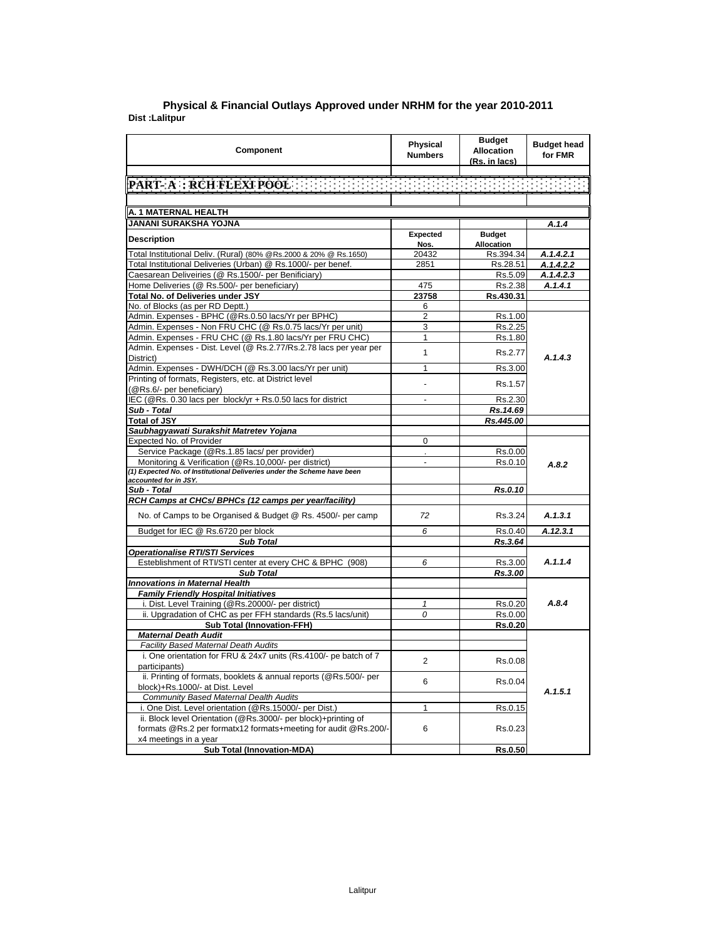|                | Physical & Financial Outlays Approved under NRHM for the year 2010-2011 |
|----------------|-------------------------------------------------------------------------|
| Dist :Lalitpur |                                                                         |

| Component                                                                                                | <b>Physical</b><br><b>Numbers</b> | <b>Budget</b><br><b>Allocation</b><br>(Rs. in lacs) | <b>Budget head</b><br>for FMR |
|----------------------------------------------------------------------------------------------------------|-----------------------------------|-----------------------------------------------------|-------------------------------|
|                                                                                                          |                                   |                                                     |                               |
|                                                                                                          |                                   |                                                     |                               |
|                                                                                                          |                                   |                                                     |                               |
| A. 1 MATERNAL HEALTH                                                                                     |                                   |                                                     |                               |
| JANANI SURAKSHA YOJNA                                                                                    |                                   |                                                     | A.1.4                         |
|                                                                                                          | Expected                          | <b>Budget</b>                                       |                               |
| <b>Description</b>                                                                                       | Nos.                              | Allocation                                          |                               |
| Total Institutional Deliv. (Rural) (80% @Rs.2000 & 20% @ Rs.1650)                                        | 20432                             | Rs.394.34                                           | A.1.4.2.1                     |
| Total Institutional Deliveries (Urban) @ Rs.1000/- per benef.                                            | 2851                              | Rs.28.51                                            | A.1.4.2.2                     |
| Caesarean Deliveiries (@ Rs.1500/- per Benificiary)                                                      |                                   | Rs.5.09                                             | A.1.4.2.3                     |
| Home Deliveries (@ Rs.500/- per beneficiary)                                                             | 475                               | Rs.2.38                                             | A.1.4.1                       |
| Total No. of Deliveries under JSY                                                                        | 23758                             | Rs.430.31                                           |                               |
| No. of Blocks (as per RD Deptt.)                                                                         | 6                                 |                                                     |                               |
| Admin. Expenses - BPHC (@Rs.0.50 lacs/Yr per BPHC)                                                       | $\overline{2}$                    | Rs.1.00                                             |                               |
| Admin. Expenses - Non FRU CHC (@ Rs.0.75 lacs/Yr per unit)                                               | 3                                 | Rs.2.25                                             |                               |
| Admin. Expenses - FRU CHC (@ Rs.1.80 lacs/Yr per FRU CHC)                                                | $\mathbf{1}$                      | Rs.1.80                                             |                               |
| Admin. Expenses - Dist. Level (@ Rs.2.77/Rs.2.78 lacs per year per<br>District)                          | 1                                 | Rs.2.77                                             | A.1.4.3                       |
| Admin. Expenses - DWH/DCH (@ Rs.3.00 lacs/Yr per unit)                                                   | 1                                 | Rs.3.00                                             |                               |
| Printing of formats, Registers, etc. at District level<br>(@Rs.6/- per beneficiary)                      |                                   | Rs.1.57                                             |                               |
| IEC (@Rs. 0.30 lacs per block/yr + Rs.0.50 lacs for district                                             | $\overline{a}$                    | Rs.2.30                                             |                               |
| Sub - Total                                                                                              |                                   | Rs.14.69                                            |                               |
| <b>Total of JSY</b>                                                                                      |                                   | Rs.445.00                                           |                               |
| Saubhagyawati Surakshit Matretev Yojana                                                                  |                                   |                                                     |                               |
| Expected No. of Provider                                                                                 | $\Omega$                          |                                                     |                               |
| Service Package (@Rs.1.85 lacs/ per provider)                                                            |                                   | Rs.0.00                                             |                               |
| Monitoring & Verification (@Rs.10,000/- per district)                                                    | $\overline{a}$                    | Rs.0.10                                             | A.8.2                         |
| (1) Expected No. of Institutional Deliveries under the Scheme have been                                  |                                   |                                                     |                               |
| accounted for in JSY.                                                                                    |                                   |                                                     |                               |
| Sub - Total                                                                                              |                                   | Rs.0.10                                             |                               |
| RCH Camps at CHCs/ BPHCs (12 camps per year/facility)                                                    |                                   |                                                     |                               |
| No. of Camps to be Organised & Budget @ Rs. 4500/- per camp                                              | 72                                | Rs.3.24                                             | A.1.3.1                       |
| Budget for IEC @ Rs.6720 per block                                                                       | 6                                 | Rs.0.40                                             | A.12.3.1                      |
| <b>Sub Total</b>                                                                                         |                                   | Rs.3.64                                             |                               |
| <b>Operationalise RTI/STI Services</b>                                                                   |                                   |                                                     |                               |
| Esteblishment of RTI/STI center at every CHC & BPHC (908)                                                | 6                                 | Rs.3.00                                             | A.1.1.4                       |
| <b>Sub Total</b>                                                                                         |                                   | Rs.3.00                                             |                               |
| <b>Innovations in Maternal Health</b>                                                                    |                                   |                                                     |                               |
| <b>Family Friendly Hospital Initiatives</b>                                                              |                                   |                                                     |                               |
| i. Dist. Level Training (@Rs.20000/- per district)                                                       | $\mathbf{1}$                      | Rs.0.20                                             | A.8.4                         |
| ii. Upgradation of CHC as per FFH standards (Rs.5 lacs/unit)                                             | 0                                 | Rs.0.00                                             |                               |
| <b>Sub Total (Innovation-FFH)</b>                                                                        |                                   | Rs.0.20                                             |                               |
| <b>Maternal Death Audit</b>                                                                              |                                   |                                                     |                               |
| Facility Based Maternal Death Audits<br>i. One orientation for FRU & 24x7 units (Rs.4100/- pe batch of 7 |                                   |                                                     |                               |
| participants)                                                                                            | 2                                 | Rs.0.08                                             |                               |
| ii. Printing of formats, booklets & annual reports (@Rs.500/- per                                        |                                   |                                                     |                               |
| block)+Rs.1000/- at Dist. Level                                                                          | 6                                 | Rs.0.04                                             |                               |
| <b>Community Based Maternal Dealth Audits</b>                                                            |                                   |                                                     | A.1.5.1                       |
| i. One Dist. Level orientation (@Rs.15000/- per Dist.)                                                   | 1                                 | Rs.0.15                                             |                               |
| ii. Block level Orientation (@Rs.3000/- per block)+printing of                                           |                                   |                                                     |                               |
| formats @Rs.2 per formatx12 formats+meeting for audit @Rs.200/-                                          | 6                                 | Rs.0.23                                             |                               |
| x4 meetings in a year                                                                                    |                                   |                                                     |                               |
| <b>Sub Total (Innovation-MDA)</b>                                                                        |                                   | <b>Rs.0.50</b>                                      |                               |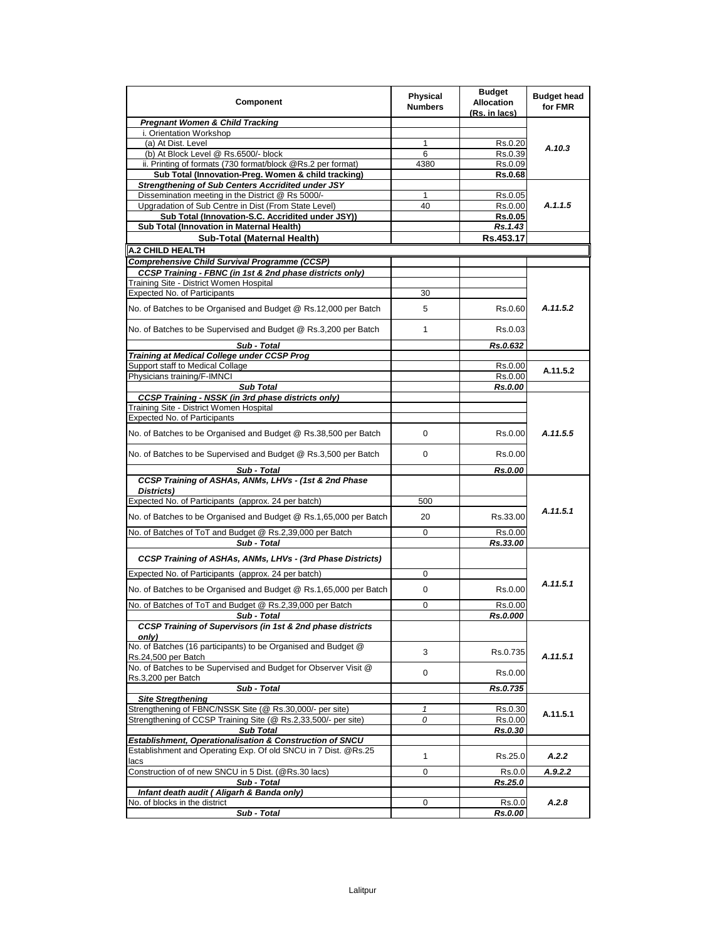| Component                                                                                                          | <b>Physical</b><br><b>Numbers</b> | <b>Budget</b><br><b>Allocation</b><br>(Rs. in lacs) | <b>Budget head</b><br>for FMR |
|--------------------------------------------------------------------------------------------------------------------|-----------------------------------|-----------------------------------------------------|-------------------------------|
| <b>Pregnant Women &amp; Child Tracking</b>                                                                         |                                   |                                                     |                               |
| i. Orientation Workshop                                                                                            |                                   |                                                     |                               |
| (a) At Dist. Level                                                                                                 | 1                                 | Rs.0.20                                             | A.10.3                        |
| (b) At Block Level @ Rs.6500/- block                                                                               | 6                                 | Rs.0.39                                             |                               |
| ii. Printing of formats (730 format/block @Rs.2 per format)<br>Sub Total (Innovation-Preg. Women & child tracking) | 4380                              | Rs.0.09                                             |                               |
| <b>Strengthening of Sub Centers Accridited under JSY</b>                                                           |                                   | <b>Rs.0.68</b>                                      |                               |
| Dissemination meeting in the District @ Rs 5000/-                                                                  | 1                                 | Rs.0.05                                             |                               |
| Upgradation of Sub Centre in Dist (From State Level)                                                               | 40                                | Rs.0.00                                             | A.1.1.5                       |
| Sub Total (Innovation-S.C. Accridited under JSY))                                                                  |                                   | <b>Rs.0.05</b>                                      |                               |
| Sub Total (Innovation in Maternal Health)                                                                          |                                   | Rs.1.43                                             |                               |
| Sub-Total (Maternal Health)                                                                                        |                                   | Rs.453.17                                           |                               |
| <b>A.2 CHILD HEALTH</b>                                                                                            |                                   |                                                     |                               |
| <b>Comprehensive Child Survival Programme (CCSP)</b>                                                               |                                   |                                                     |                               |
| CCSP Training - FBNC (in 1st & 2nd phase districts only)                                                           |                                   |                                                     |                               |
| Training Site - District Women Hospital                                                                            |                                   |                                                     |                               |
| Expected No. of Participants                                                                                       | 30                                |                                                     |                               |
| No. of Batches to be Organised and Budget @ Rs.12,000 per Batch                                                    | 5                                 | Rs.0.60                                             | A.11.5.2                      |
| No. of Batches to be Supervised and Budget @ Rs.3,200 per Batch                                                    | 1                                 | Rs.0.03                                             |                               |
| Sub - Total                                                                                                        |                                   | Rs.0.632                                            |                               |
| Training at Medical College under CCSP Prog                                                                        |                                   |                                                     |                               |
| Support staff to Medical Collage                                                                                   |                                   | Rs.0.00                                             | A.11.5.2                      |
| Physicians training/F-IMNCI                                                                                        |                                   | Rs.0.00                                             |                               |
| <b>Sub Total</b><br><b>CCSP Training - NSSK (in 3rd phase districts only)</b>                                      |                                   | Rs.0.00                                             |                               |
| Training Site - District Women Hospital                                                                            |                                   |                                                     |                               |
| Expected No. of Participants                                                                                       |                                   |                                                     |                               |
| No. of Batches to be Organised and Budget @ Rs.38,500 per Batch                                                    | 0                                 | Rs.0.00                                             | A.11.5.5                      |
| No. of Batches to be Supervised and Budget @ Rs.3,500 per Batch                                                    | 0                                 | Rs.0.00                                             |                               |
| Sub - Total                                                                                                        |                                   | Rs.0.00                                             |                               |
| CCSP Training of ASHAs, ANMs, LHVs - (1st & 2nd Phase<br>Districts)                                                |                                   |                                                     |                               |
| Expected No. of Participants (approx. 24 per batch)                                                                | 500                               |                                                     |                               |
| No. of Batches to be Organised and Budget @ Rs.1,65,000 per Batch                                                  | 20                                | Rs.33.00                                            | A.11.5.1                      |
|                                                                                                                    |                                   |                                                     |                               |
| No. of Batches of ToT and Budget @ Rs.2,39,000 per Batch<br>Sub - Total                                            | 0                                 | Rs.0.00<br>Rs.33.00                                 |                               |
| CCSP Training of ASHAs, ANMs, LHVs - (3rd Phase Districts)                                                         |                                   |                                                     |                               |
| Expected No. of Participants (approx. 24 per batch)                                                                |                                   |                                                     |                               |
| No. of Batches to be Organised and Budget @ Rs.1,65,000 per Batch                                                  | 0<br>0                            | Rs.0.00                                             | A.11.5.1                      |
| No. of Batches of ToT and Budget @ Rs.2,39,000 per Batch                                                           | 0                                 |                                                     |                               |
| Sub - Total                                                                                                        |                                   | Rs.0.00<br>Rs.0.000                                 |                               |
| CCSP Training of Supervisors (in 1st & 2nd phase districts<br>onlv)                                                |                                   |                                                     |                               |
| No. of Batches (16 participants) to be Organised and Budget @<br>Rs.24,500 per Batch                               | 3                                 | Rs.0.735                                            | A.11.5.1                      |
| No. of Batches to be Supervised and Budget for Observer Visit @<br>Rs.3,200 per Batch                              | 0                                 | Rs.0.00                                             |                               |
| Sub - Total                                                                                                        |                                   | Rs.0.735                                            |                               |
| <b>Site Streathening</b>                                                                                           |                                   |                                                     |                               |
| Strengthening of FBNC/NSSK Site (@ Rs.30,000/- per site)                                                           | 1                                 | Rs.0.30                                             |                               |
| Strengthening of CCSP Training Site (@ Rs.2,33,500/- per site)                                                     | 0                                 | Rs.0.00                                             | A.11.5.1                      |
| <b>Sub Total</b>                                                                                                   |                                   | Rs.0.30                                             |                               |
| <b>Establishment, Operationalisation &amp; Construction of SNCU</b>                                                |                                   |                                                     |                               |
| Establishment and Operating Exp. Of old SNCU in 7 Dist. @Rs.25<br>lacs                                             | $\mathbf{1}$                      | Rs.25.0                                             | A.2.2                         |
| Construction of of new SNCU in 5 Dist. (@Rs.30 lacs)                                                               | 0                                 | Rs.0.0                                              | A.9.2.2                       |
| Sub - Total                                                                                                        |                                   | Rs.25.0                                             |                               |
| Infant death audit (Aligarh & Banda only)                                                                          |                                   |                                                     |                               |
| No. of blocks in the district                                                                                      | 0                                 | Rs.0.0                                              | A.2.8                         |
| Sub - Total                                                                                                        |                                   | Rs.0.00                                             |                               |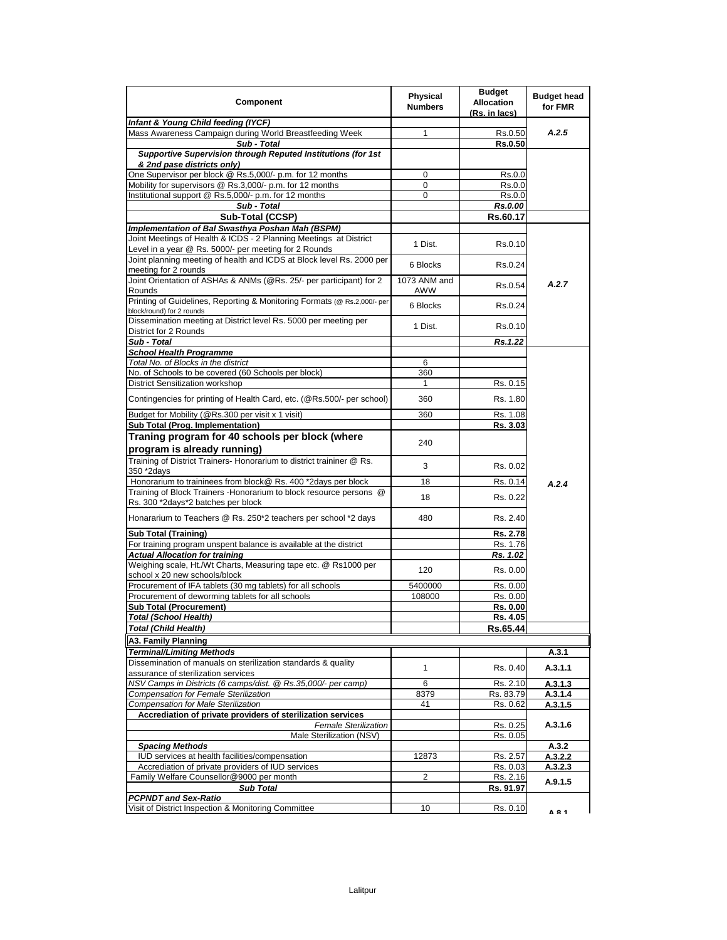| Component                                                                                                            | <b>Physical</b><br><b>Numbers</b> | <b>Budget</b><br><b>Allocation</b><br>(Rs. in lacs) | <b>Budget head</b><br>for FMR |
|----------------------------------------------------------------------------------------------------------------------|-----------------------------------|-----------------------------------------------------|-------------------------------|
| Infant & Young Child feeding (IYCF)                                                                                  |                                   |                                                     |                               |
| Mass Awareness Campaign during World Breastfeeding Week                                                              | 1                                 | Rs.0.50                                             | A.2.5                         |
| Sub - Total                                                                                                          |                                   | Rs.0.50                                             |                               |
| Supportive Supervision through Reputed Institutions (for 1st                                                         |                                   |                                                     |                               |
| & 2nd pase districts only)                                                                                           |                                   |                                                     |                               |
| One Supervisor per block @ Rs.5,000/- p.m. for 12 months<br>Mobility for supervisors @ Rs.3,000/- p.m. for 12 months | 0<br>0                            | Rs.0.0                                              |                               |
| Institutional support @ Rs.5,000/- p.m. for 12 months                                                                | 0                                 | Rs.0.0<br>Rs.0.0                                    |                               |
| Sub - Total                                                                                                          |                                   | Rs.0.00                                             |                               |
| Sub-Total (CCSP)                                                                                                     |                                   | Rs.60.17                                            |                               |
| Implementation of Bal Swasthya Poshan Mah (BSPM)                                                                     |                                   |                                                     |                               |
| Joint Meetings of Health & ICDS - 2 Planning Meetings at District                                                    |                                   |                                                     |                               |
| Level in a year @ Rs. 5000/- per meeting for 2 Rounds                                                                | 1 Dist.                           | Rs.0.10                                             |                               |
| Joint planning meeting of health and ICDS at Block level Rs. 2000 per                                                |                                   |                                                     |                               |
| meeting for 2 rounds                                                                                                 | 6 Blocks                          | Rs 0.24                                             |                               |
| Joint Orientation of ASHAs & ANMs (@Rs. 25/- per participant) for 2                                                  | 1073 ANM and                      |                                                     |                               |
| Rounds                                                                                                               | AWW                               | Rs.0.54                                             | A.2.7                         |
| Printing of Guidelines, Reporting & Monitoring Formats (@ Rs.2,000/- per                                             | 6 Blocks                          | Rs 0.24                                             |                               |
| block/round) for 2 rounds<br>Dissemination meeting at District level Rs. 5000 per meeting per                        |                                   |                                                     |                               |
| District for 2 Rounds                                                                                                | 1 Dist.                           | Rs 0.10                                             |                               |
| Sub - Total                                                                                                          |                                   | Rs.1.22                                             |                               |
| <b>School Health Programme</b>                                                                                       |                                   |                                                     |                               |
| Total No. of Blocks in the district                                                                                  | 6                                 |                                                     |                               |
| No. of Schools to be covered (60 Schools per block)                                                                  | 360                               |                                                     |                               |
| District Sensitization workshop                                                                                      | 1                                 | Rs. 0.15                                            |                               |
| Contingencies for printing of Health Card, etc. (@Rs.500/- per school)                                               | 360                               | Rs. 1.80                                            |                               |
| Budget for Mobility (@Rs.300 per visit x 1 visit)                                                                    | 360                               | Rs. 1.08                                            |                               |
| Sub Total (Prog. Implementation)                                                                                     |                                   | Rs. 3.03                                            |                               |
| Traning program for 40 schools per block (where                                                                      |                                   |                                                     |                               |
| program is already running)                                                                                          | 240                               |                                                     |                               |
| Training of District Trainers- Honorarium to district traininer @ Rs.<br>350 *2days                                  | 3                                 | Rs 0.02                                             |                               |
| Honorarium to traininees from block@ Rs. 400 *2days per block                                                        | 18                                | Rs. 0.14                                            | A.2.4                         |
| Training of Block Trainers - Honorarium to block resource persons @                                                  | 18                                | Rs. 0.22                                            |                               |
| Rs. 300 *2days*2 batches per block                                                                                   |                                   |                                                     |                               |
| Honararium to Teachers @ Rs. 250*2 teachers per school *2 days                                                       | 480                               | Rs. 2.40                                            |                               |
| <b>Sub Total (Training)</b>                                                                                          |                                   | Rs. 2.78                                            |                               |
| For training program unspent balance is available at the district                                                    |                                   | Rs. 1.76                                            |                               |
| <b>Actual Allocation for training</b>                                                                                |                                   | Rs. 1.02                                            |                               |
| Weighing scale, Ht./Wt Charts, Measuring tape etc. @ Rs1000 per<br>school x 20 new schools/block                     | 120                               | Rs. 0.00                                            |                               |
| Procurement of IFA tablets (30 mg tablets) for all schools                                                           | 5400000                           | Rs. 0.00                                            |                               |
| Procurement of deworming tablets for all schools                                                                     | 108000                            | Rs. 0.00                                            |                               |
| <b>Sub Total (Procurement)</b>                                                                                       |                                   | Rs. 0.00                                            |                               |
| <b>Total (School Health)</b>                                                                                         |                                   | Rs. 4.05                                            |                               |
| <b>Total (Child Health)</b>                                                                                          |                                   | Rs.65.44                                            |                               |
| A3. Family Planning                                                                                                  |                                   |                                                     |                               |
| Terminal/Limiting Methods                                                                                            |                                   |                                                     | A.3.1                         |
| Dissemination of manuals on sterilization standards & quality                                                        | 1                                 | Rs. 0.40                                            | A.3.1.1                       |
| assurance of sterilization services                                                                                  |                                   |                                                     |                               |
| NSV Camps in Districts (6 camps/dist. @ Rs.35,000/- per camp)                                                        | 6                                 | Rs. 2.10                                            | A.3.1.3                       |
| Compensation for Female Sterilization                                                                                | 8379                              | Rs. 83.79                                           | A.3.1.4                       |
| Compensation for Male Sterilization<br>Accrediation of private providers of sterilization services                   | 41                                | Rs. 0.62                                            | A.3.1.5                       |
| <b>Female Sterilization</b>                                                                                          |                                   | Rs. 0.25                                            | A.3.1.6                       |
| Male Sterilization (NSV)                                                                                             |                                   | Rs. 0.05                                            |                               |
| <b>Spacing Methods</b>                                                                                               |                                   |                                                     | A.3.2                         |
| IUD services at health facilities/compensation                                                                       | 12873                             | Rs. 2.57                                            | A.3.2.2                       |
| Accrediation of private providers of IUD services                                                                    |                                   | Rs. 0.03                                            | A.3.2.3                       |
| Family Welfare Counsellor@9000 per month                                                                             | $\overline{2}$                    | Rs. 2.16                                            |                               |
| <b>Sub Total</b>                                                                                                     |                                   | Rs. 91.97                                           | A.9.1.5                       |
| PCPNDT and Sex-Ratio                                                                                                 |                                   |                                                     |                               |
| Visit of District Inspection & Monitoring Committee                                                                  | 10                                | Rs. 0.10                                            | A <b>R</b> 1                  |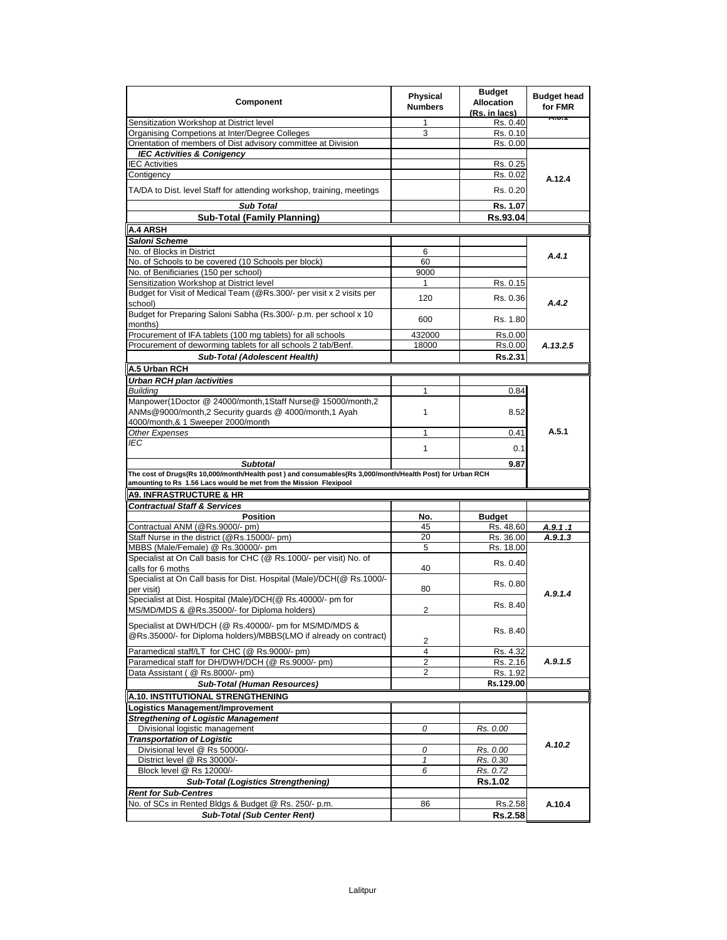| Component                                                                                                                                                                                        | <b>Physical</b><br><b>Numbers</b> | <b>Budget</b><br><b>Allocation</b><br>(Rs. in lacs) | <b>Budget head</b><br>for FMR |
|--------------------------------------------------------------------------------------------------------------------------------------------------------------------------------------------------|-----------------------------------|-----------------------------------------------------|-------------------------------|
| Sensitization Workshop at District level                                                                                                                                                         | 1                                 | Rs. 0.40                                            | <b>A.U.T</b>                  |
| Organising Competions at Inter/Degree Colleges                                                                                                                                                   | 3                                 | Rs. 0.10                                            |                               |
| Orientation of members of Dist advisory committee at Division                                                                                                                                    |                                   | Rs. 0.00                                            |                               |
| <b>IEC Activities &amp; Conigency</b>                                                                                                                                                            |                                   |                                                     |                               |
| <b>IEC Activities</b>                                                                                                                                                                            |                                   | Rs. 0.25                                            |                               |
| Contigency                                                                                                                                                                                       |                                   | Rs. 0.02                                            | A.12.4                        |
| TA/DA to Dist. level Staff for attending workshop, training, meetings                                                                                                                            |                                   | Rs. 0.20                                            |                               |
| <b>Sub Total</b>                                                                                                                                                                                 |                                   | Rs. 1.07                                            |                               |
| <b>Sub-Total (Family Planning)</b>                                                                                                                                                               |                                   | Rs.93.04                                            |                               |
| <b>A.4 ARSH</b>                                                                                                                                                                                  |                                   |                                                     |                               |
| Saloni Scheme                                                                                                                                                                                    |                                   |                                                     |                               |
| No. of Blocks in District                                                                                                                                                                        | 6                                 |                                                     | A.4.1                         |
| No. of Schools to be covered (10 Schools per block)                                                                                                                                              | 60                                |                                                     |                               |
| No. of Benificiaries (150 per school)                                                                                                                                                            | 9000                              |                                                     |                               |
| Sensitization Workshop at District level                                                                                                                                                         | $\mathbf{1}$                      | Rs. 0.15                                            |                               |
| Budget for Visit of Medical Team (@Rs.300/- per visit x 2 visits per<br>school)                                                                                                                  | 120                               | Rs. 0.36                                            | A.4.2                         |
| Budget for Preparing Saloni Sabha (Rs.300/- p.m. per school x 10<br>months)                                                                                                                      | 600                               | Rs. 1.80                                            |                               |
| Procurement of IFA tablets (100 mg tablets) for all schools                                                                                                                                      | 432000                            | Rs.0.00                                             |                               |
| Procurement of deworming tablets for all schools 2 tab/Benf.                                                                                                                                     | 18000                             | Rs.0.00                                             | A.13.2.5                      |
|                                                                                                                                                                                                  |                                   |                                                     |                               |
| <b>Sub-Total (Adolescent Health)</b>                                                                                                                                                             |                                   | Rs.2.31                                             |                               |
| A.5 Urban RCH                                                                                                                                                                                    |                                   |                                                     |                               |
| Urban RCH plan /activities                                                                                                                                                                       |                                   |                                                     |                               |
| <b>Buildina</b>                                                                                                                                                                                  | 1                                 | 0.84                                                |                               |
| Manpower(1Doctor @ 24000/month,1Staff Nurse@ 15000/month,2<br>ANMs@9000/month,2 Security quards @ 4000/month,1 Ayah                                                                              | 1                                 | 8.52                                                |                               |
| 4000/month,& 1 Sweeper 2000/month                                                                                                                                                                |                                   |                                                     |                               |
| Other Expenses                                                                                                                                                                                   | $\mathbf{1}$                      | 0.41                                                | A.5.1                         |
| IEC                                                                                                                                                                                              | $\mathbf{1}$                      | 0.1                                                 |                               |
|                                                                                                                                                                                                  |                                   |                                                     |                               |
| <b>Subtotal</b><br>The cost of Drugs(Rs 10,000/month/Health post) and consumables(Rs 3,000/month/Health Post) for Urban RCH<br>amounting to Rs 1.56 Lacs would be met from the Mission Flexipool |                                   | 9.87                                                |                               |
| <b>A9. INFRASTRUCTURE &amp; HR</b>                                                                                                                                                               |                                   |                                                     |                               |
|                                                                                                                                                                                                  |                                   |                                                     |                               |
| <b>Contractual Staff &amp; Services</b>                                                                                                                                                          |                                   |                                                     |                               |
| <b>Position</b><br>Contractual ANM (@Rs.9000/- pm)                                                                                                                                               | No.<br>45                         | <b>Budget</b>                                       |                               |
| Staff Nurse in the district (@Rs.15000/- pm)                                                                                                                                                     | 20                                | Rs. 48.60<br>Rs. 36.00                              | A.9.1 .1<br>A.9.1.3           |
| MBBS (Male/Female) @ Rs.30000/- pm                                                                                                                                                               | 5                                 |                                                     |                               |
| Specialist at On Call basis for CHC (@ Rs.1000/- per visit) No. of                                                                                                                               |                                   | Rs. 18.00                                           |                               |
| calls for 6 moths                                                                                                                                                                                | 40                                | Rs. 0.40                                            |                               |
| Specialist at On Call basis for Dist. Hospital (Male)/DCH(@ Rs.1000/-                                                                                                                            |                                   | Rs. 0.80                                            |                               |
| per visit)                                                                                                                                                                                       | 80                                |                                                     | A.9.1.4                       |
| Specialist at Dist. Hospital (Male)/DCH(@ Rs.40000/- pm for<br>MS/MD/MDS & @Rs.35000/- for Diploma holders)                                                                                      | 2                                 | Rs. 8.40                                            |                               |
|                                                                                                                                                                                                  |                                   |                                                     |                               |
| Specialist at DWH/DCH (@ Rs.40000/- pm for MS/MD/MDS &<br>@Rs.35000/- for Diploma holders)/MBBS(LMO if already on contract)                                                                      | 2                                 | Rs. 8.40                                            |                               |
| Paramedical staff/LT for CHC (@ Rs.9000/- pm)                                                                                                                                                    | $\overline{4}$                    | Rs. 4.32                                            |                               |
| Paramedical staff for DH/DWH/DCH (@ Rs.9000/- pm)                                                                                                                                                | 2                                 | Rs. 2.16                                            | A.9.1.5                       |
| Data Assistant ( @ Rs.8000/- pm)                                                                                                                                                                 | 2                                 | Rs. 1.92                                            |                               |
| Sub-Total (Human Resources)                                                                                                                                                                      |                                   | Rs.129.00                                           |                               |
|                                                                                                                                                                                                  |                                   |                                                     |                               |
| A.10. INSTITUTIONAL STRENGTHENING                                                                                                                                                                |                                   |                                                     |                               |
| Logistics Management/Improvement                                                                                                                                                                 |                                   |                                                     |                               |
| <b>Stregthening of Logistic Management</b>                                                                                                                                                       |                                   |                                                     |                               |
| Divisional logistic management                                                                                                                                                                   | 0                                 | Rs. 0.00                                            |                               |
| <b>Transportation of Logistic</b>                                                                                                                                                                |                                   |                                                     | A.10.2                        |
| Divisional level @ Rs 50000/-                                                                                                                                                                    | 0                                 | Rs. 0.00                                            |                               |
| District level @ Rs 30000/-                                                                                                                                                                      | $\mathbf{1}$                      | Rs. 0.30                                            |                               |
| Block level @ Rs 12000/-                                                                                                                                                                         | 6                                 | Rs. 0.72                                            |                               |
| <b>Sub-Total (Logistics Strengthening)</b>                                                                                                                                                       |                                   | Rs.1.02                                             |                               |
| <b>Rent for Sub-Centres</b>                                                                                                                                                                      |                                   |                                                     |                               |
| No. of SCs in Rented Bldgs & Budget @ Rs. 250/- p.m.                                                                                                                                             | 86                                | Rs.2.58                                             | A.10.4                        |
| <b>Sub-Total (Sub Center Rent)</b>                                                                                                                                                               |                                   | Rs.2.58                                             |                               |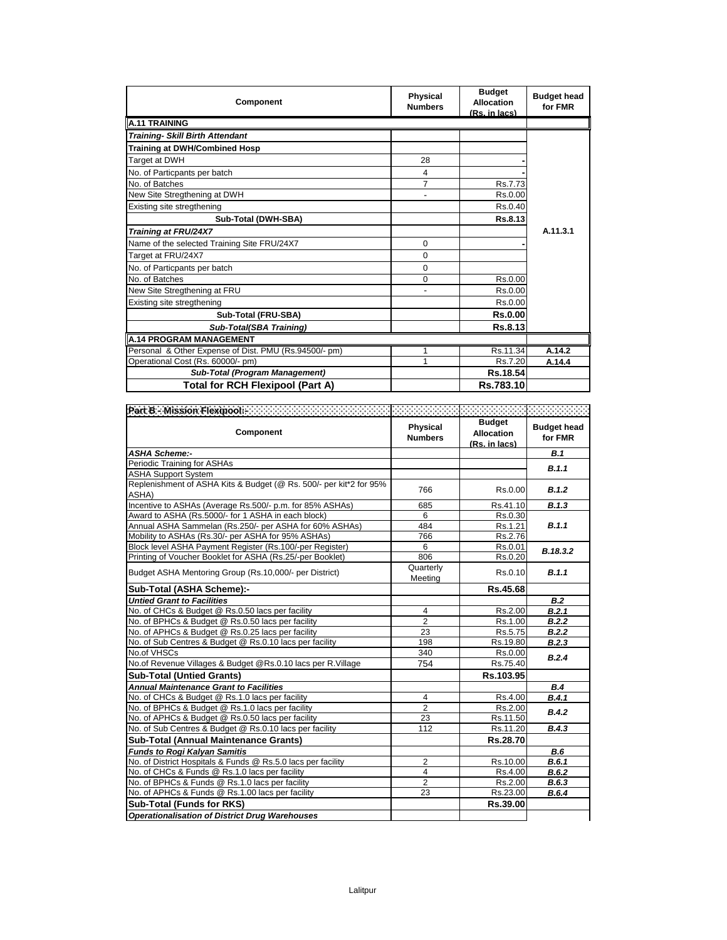| Component                                             | <b>Physical</b><br><b>Numbers</b> | <b>Budget</b><br><b>Allocation</b><br>(Rs. in lacs) | <b>Budget head</b><br>for FMR |
|-------------------------------------------------------|-----------------------------------|-----------------------------------------------------|-------------------------------|
| <b>A.11 TRAINING</b>                                  |                                   |                                                     |                               |
| <b>Training- Skill Birth Attendant</b>                |                                   |                                                     |                               |
| <b>Training at DWH/Combined Hosp</b>                  |                                   |                                                     |                               |
| Target at DWH                                         | 28                                |                                                     |                               |
| No. of Particpants per batch                          | 4                                 |                                                     |                               |
| No. of Batches                                        | 7                                 | Rs.7.73                                             |                               |
| New Site Stregthening at DWH                          | $\blacksquare$                    | Rs.0.00                                             |                               |
| Existing site stregthening                            |                                   | Rs.0.40                                             |                               |
| Sub-Total (DWH-SBA)                                   |                                   | Rs.8.13                                             |                               |
| Training at FRU/24X7                                  |                                   |                                                     | A.11.3.1                      |
| Name of the selected Training Site FRU/24X7           | $\Omega$                          |                                                     |                               |
| Target at FRU/24X7                                    | $\Omega$                          |                                                     |                               |
| No. of Particpants per batch                          | 0                                 |                                                     |                               |
| No. of Batches                                        | 0                                 | Rs.0.00                                             |                               |
| New Site Stregthening at FRU                          | Ĭ.                                | Rs.0.00                                             |                               |
| Existing site stregthening                            |                                   | Rs.0.00                                             |                               |
| Sub-Total (FRU-SBA)                                   |                                   | <b>Rs.0.00</b>                                      |                               |
| Sub-Total(SBA Training)                               |                                   | Rs.8.13                                             |                               |
| A.14 PROGRAM MANAGEMENT                               |                                   |                                                     |                               |
| Personal & Other Expense of Dist. PMU (Rs.94500/- pm) | 1                                 | Rs.11.34                                            | A.14.2                        |
| Operational Cost (Rs. 60000/- pm)                     | 1                                 | Rs.7.20                                             | A.14.4                        |
| <b>Sub-Total (Program Management)</b>                 |                                   | Rs.18.54                                            |                               |
| <b>Total for RCH Flexipool (Part A)</b>               |                                   | Rs.783.10                                           |                               |

| Part B = Mission Flexipadde concerted concerted concerted concerted concerted concerted |                                   |                                                     |                               |
|-----------------------------------------------------------------------------------------|-----------------------------------|-----------------------------------------------------|-------------------------------|
| Component                                                                               | <b>Physical</b><br><b>Numbers</b> | <b>Budget</b><br><b>Allocation</b><br>(Rs. in lacs) | <b>Budget head</b><br>for FMR |
| <b>ASHA Scheme:-</b>                                                                    |                                   |                                                     | B.1                           |
| Periodic Training for ASHAs                                                             |                                   |                                                     | B.1.1                         |
| <b>ASHA Support System</b>                                                              |                                   |                                                     |                               |
| Replenishment of ASHA Kits & Budget (@ Rs. 500/- per kit*2 for 95%<br>ASHA)             | 766                               | Rs.0.00                                             | B.1.2                         |
| Incentive to ASHAs (Average Rs.500/- p.m. for 85% ASHAs)                                | 685                               | Rs.41.10                                            | B.1.3                         |
| Award to ASHA (Rs.5000/- for 1 ASHA in each block)                                      | 6                                 | Rs.0.30                                             |                               |
| Annual ASHA Sammelan (Rs.250/- per ASHA for 60% ASHAs)                                  | 484                               | Rs.1.21                                             | B.1.1                         |
| Mobility to ASHAs (Rs.30/- per ASHA for 95% ASHAs)                                      | 766                               | Rs.2.76                                             |                               |
| Block level ASHA Payment Register (Rs.100/-per Register)                                | 6                                 | Rs.0.01                                             | B.18.3.2                      |
| Printing of Voucher Booklet for ASHA (Rs.25/-per Booklet)                               | 806                               | Rs.0.20                                             |                               |
| Budget ASHA Mentoring Group (Rs.10,000/- per District)                                  | Quarterly<br>Meeting              | Rs.0.10                                             | B.1.1                         |
| Sub-Total (ASHA Scheme):-                                                               |                                   | Rs.45.68                                            |                               |
| <b>Untied Grant to Facilities</b>                                                       |                                   |                                                     | <b>B.2</b>                    |
| No. of CHCs & Budget @ Rs.0.50 lacs per facility                                        | 4                                 | Rs.2.00                                             | B.2.1                         |
| No. of BPHCs & Budget @ Rs.0.50 lacs per facility                                       | $\overline{2}$                    | Rs.1.00                                             | B.2.2                         |
| No. of APHCs & Budget @ Rs.0.25 lacs per facility                                       | $\overline{23}$                   | Rs.5.75                                             | B.2.2                         |
| No. of Sub Centres & Budget @ Rs.0.10 lacs per facility                                 | 198                               | Rs.19.80                                            | B.2.3                         |
| No.of VHSCs                                                                             | 340                               | Rs 0.00                                             | B.2.4                         |
| No.of Revenue Villages & Budget @Rs.0.10 lacs per R.Village                             | 754                               | Rs.75.40                                            |                               |
| <b>Sub-Total (Untied Grants)</b>                                                        |                                   | Rs.103.95                                           |                               |
| <b>Annual Maintenance Grant to Facilities</b>                                           |                                   |                                                     | B.4                           |
| No. of CHCs & Budget @ Rs.1.0 lacs per facility                                         | $\overline{4}$                    | Rs.4.00                                             | B.4.1                         |
| No. of BPHCs & Budget @ Rs.1.0 lacs per facility                                        | $\overline{2}$                    | Rs.2.00                                             | B.4.2                         |
| No. of APHCs & Budget @ Rs.0.50 lacs per facility                                       | 23                                | Rs.11.50                                            |                               |
| No. of Sub Centres & Budget @ Rs.0.10 lacs per facility                                 | 112                               | Rs.11.20                                            | B.4.3                         |
| <b>Sub-Total (Annual Maintenance Grants)</b>                                            |                                   | Rs.28.70                                            |                               |
| <b>Funds to Rogi Kalyan Samitis</b>                                                     |                                   |                                                     | B.6                           |
| No. of District Hospitals & Funds @ Rs.5.0 lacs per facility                            | $\overline{2}$                    | Rs.10.00                                            | B.6.1                         |
| No. of CHCs & Funds @ Rs.1.0 lacs per facility                                          | $\overline{4}$                    | Rs.4.00                                             | B.6.2                         |
| No. of BPHCs & Funds @ Rs.1.0 lacs per facility                                         | 2                                 | Rs.2.00                                             | B.6.3                         |
| No. of APHCs & Funds @ Rs.1.00 lacs per facility                                        | 23                                | Rs.23.00                                            | B.6.4                         |
| <b>Sub-Total (Funds for RKS)</b>                                                        |                                   | Rs.39.00                                            |                               |
| <b>Operationalisation of District Drug Warehouses</b>                                   |                                   |                                                     |                               |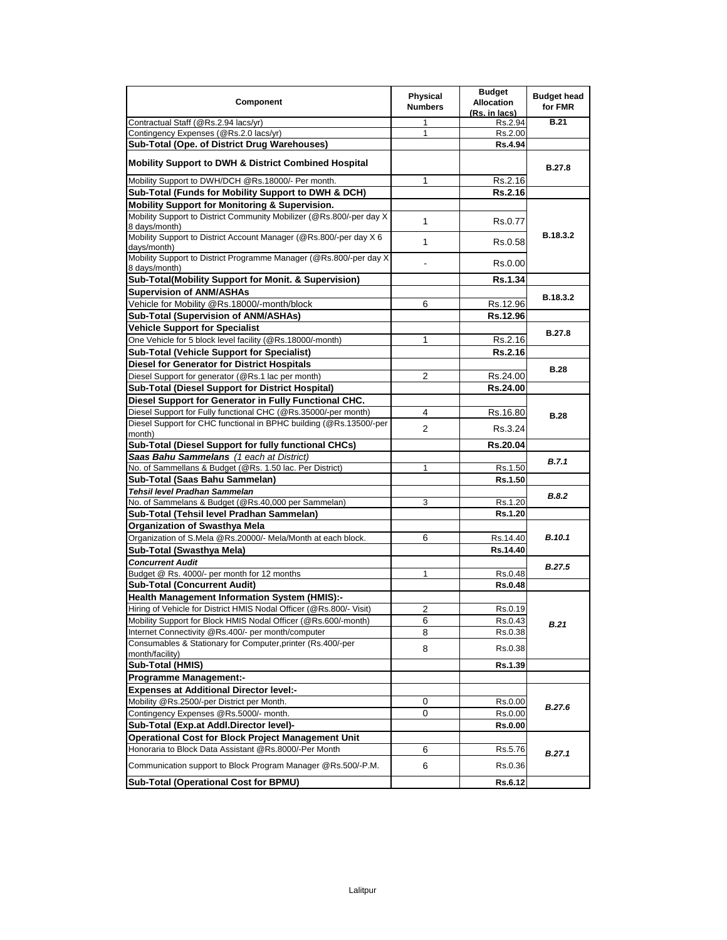| Contractual Staff (@Rs.2.94 lacs/yr)<br><b>B.21</b><br>Rs.2.94<br>1<br>Contingency Expenses (@Rs.2.0 lacs/yr)<br>$\mathbf{1}$<br>Rs.2.00<br>Sub-Total (Ope. of District Drug Warehouses)<br>Rs.4.94<br><b>Mobility Support to DWH &amp; District Combined Hospital</b><br><b>B.27.8</b><br>Mobility Support to DWH/DCH @Rs.18000/- Per month.<br>1<br>Rs.2.16<br>Sub-Total (Funds for Mobility Support to DWH & DCH)<br><b>Rs.2.16</b><br><b>Mobility Support for Monitoring &amp; Supervision.</b><br>Mobility Support to District Community Mobilizer (@Rs.800/-per day X)<br>1<br>Rs.0.77<br>8 days/month)<br>B.18.3.2<br>Mobility Support to District Account Manager (@Rs.800/-per day X 6<br>1<br>Rs.0.58<br>days/month)<br>Mobility Support to District Programme Manager (@Rs.800/-per day X<br>Rs.0.00<br>8 days/month)<br>Sub-Total(Mobility Support for Monit. & Supervision)<br><b>Rs.1.34</b><br><b>Supervision of ANM/ASHAs</b><br>B.18.3.2<br>Vehicle for Mobility @Rs.18000/-month/block<br>6<br>Rs.12.96<br>Rs.12.96<br>Sub-Total (Supervision of ANM/ASHAs)<br><b>Vehicle Support for Specialist</b><br><b>B.27.8</b><br>One Vehicle for 5 block level facility (@Rs.18000/-month)<br>Rs.2.16<br>1<br>Sub-Total (Vehicle Support for Specialist)<br><b>Rs.2.16</b><br>Diesel for Generator for District Hospitals<br><b>B.28</b><br>Diesel Support for generator (@Rs.1 lac per month)<br>2<br>Rs.24.00<br>Sub-Total (Diesel Support for District Hospital)<br>Rs.24.00<br>Diesel Support for Generator in Fully Functional CHC.<br>Diesel Support for Fully functional CHC (@Rs.35000/-per month)<br>4<br>Rs.16.80<br><b>B.28</b><br>Diesel Support for CHC functional in BPHC building (@Rs.13500/-per<br>$\overline{2}$<br>Rs.3.24<br>month)<br>Sub-Total (Diesel Support for fully functional CHCs)<br>Rs.20.04<br>Saas Bahu Sammelans (1 each at District)<br>B.7.1<br>No. of Sammellans & Budget (@Rs. 1.50 lac. Per District)<br>1<br>Rs.1.50<br>Rs.1.50<br>Sub-Total (Saas Bahu Sammelan)<br>Tehsil level Pradhan Sammelan<br>B.8.2<br>No. of Sammelans & Budget (@Rs.40,000 per Sammelan)<br>3<br>Rs.1.20<br>Sub-Total (Tehsil level Pradhan Sammelan)<br>Rs.1.20<br><b>Organization of Swasthya Mela</b><br><b>B.10.1</b><br>Organization of S.Mela @Rs.20000/- Mela/Month at each block.<br>6<br>Rs.14.40<br>Sub-Total (Swasthya Mela)<br>Rs.14.40<br><b>Concurrent Audit</b><br><b>B.27.5</b><br>Budget @ Rs. 4000/- per month for 12 months<br>Rs.0.48<br><b>Sub-Total (Concurrent Audit)</b><br><b>Rs.0.48</b><br><b>Health Management Information System (HMIS):-</b><br>Hiring of Vehicle for District HMIS Nodal Officer (@Rs.800/- Visit)<br>2<br>Rs.0.19<br>Mobility Support for Block HMIS Nodal Officer (@Rs.600/-month)<br>Rs.0.43<br>6<br>B.21<br>8<br>Internet Connectivity @Rs.400/- per month/computer<br>Rs.0.38<br>Consumables & Stationary for Computer, printer (Rs.400/-per<br>8<br>Rs.0.38<br>month/facility)<br>Sub-Total (HMIS)<br>Rs.1.39<br><b>Programme Management:-</b><br><b>Expenses at Additional Director level:-</b><br>Mobility @Rs.2500/-per District per Month.<br>0<br>Rs.0.00<br><b>B.27.6</b><br>Contingency Expenses @Rs.5000/- month.<br>0<br>Rs.0.00<br>Sub-Total (Exp.at Addl.Director level)-<br><b>Rs.0.00</b><br><b>Operational Cost for Block Project Management Unit</b><br>Honoraria to Block Data Assistant @Rs.8000/-Per Month<br>6<br>Rs.5.76<br>B.27.1<br>Communication support to Block Program Manager @Rs.500/-P.M.<br>6<br>Rs.0.36<br><b>Sub-Total (Operational Cost for BPMU)</b><br><b>Rs.6.12</b> | Component | <b>Physical</b><br><b>Numbers</b> | <b>Budget</b><br><b>Allocation</b><br>(Rs. in lacs) | <b>Budget head</b><br>for FMR |
|-------------------------------------------------------------------------------------------------------------------------------------------------------------------------------------------------------------------------------------------------------------------------------------------------------------------------------------------------------------------------------------------------------------------------------------------------------------------------------------------------------------------------------------------------------------------------------------------------------------------------------------------------------------------------------------------------------------------------------------------------------------------------------------------------------------------------------------------------------------------------------------------------------------------------------------------------------------------------------------------------------------------------------------------------------------------------------------------------------------------------------------------------------------------------------------------------------------------------------------------------------------------------------------------------------------------------------------------------------------------------------------------------------------------------------------------------------------------------------------------------------------------------------------------------------------------------------------------------------------------------------------------------------------------------------------------------------------------------------------------------------------------------------------------------------------------------------------------------------------------------------------------------------------------------------------------------------------------------------------------------------------------------------------------------------------------------------------------------------------------------------------------------------------------------------------------------------------------------------------------------------------------------------------------------------------------------------------------------------------------------------------------------------------------------------------------------------------------------------------------------------------------------------------------------------------------------------------------------------------------------------------------------------------------------------------------------------------------------------------------------------------------------------------------------------------------------------------------------------------------------------------------------------------------------------------------------------------------------------------------------------------------------------------------------------------------------------------------------------------------------------------------------------------------------------------------------------------------------------------------------------------------------------------------------------------------------------------------------------------------------------------------------------------------------------------------------------------------------------------------------------------------------------------------------------------------------------------------|-----------|-----------------------------------|-----------------------------------------------------|-------------------------------|
|                                                                                                                                                                                                                                                                                                                                                                                                                                                                                                                                                                                                                                                                                                                                                                                                                                                                                                                                                                                                                                                                                                                                                                                                                                                                                                                                                                                                                                                                                                                                                                                                                                                                                                                                                                                                                                                                                                                                                                                                                                                                                                                                                                                                                                                                                                                                                                                                                                                                                                                                                                                                                                                                                                                                                                                                                                                                                                                                                                                                                                                                                                                                                                                                                                                                                                                                                                                                                                                                                                                                                                                           |           |                                   |                                                     |                               |
|                                                                                                                                                                                                                                                                                                                                                                                                                                                                                                                                                                                                                                                                                                                                                                                                                                                                                                                                                                                                                                                                                                                                                                                                                                                                                                                                                                                                                                                                                                                                                                                                                                                                                                                                                                                                                                                                                                                                                                                                                                                                                                                                                                                                                                                                                                                                                                                                                                                                                                                                                                                                                                                                                                                                                                                                                                                                                                                                                                                                                                                                                                                                                                                                                                                                                                                                                                                                                                                                                                                                                                                           |           |                                   |                                                     |                               |
|                                                                                                                                                                                                                                                                                                                                                                                                                                                                                                                                                                                                                                                                                                                                                                                                                                                                                                                                                                                                                                                                                                                                                                                                                                                                                                                                                                                                                                                                                                                                                                                                                                                                                                                                                                                                                                                                                                                                                                                                                                                                                                                                                                                                                                                                                                                                                                                                                                                                                                                                                                                                                                                                                                                                                                                                                                                                                                                                                                                                                                                                                                                                                                                                                                                                                                                                                                                                                                                                                                                                                                                           |           |                                   |                                                     |                               |
|                                                                                                                                                                                                                                                                                                                                                                                                                                                                                                                                                                                                                                                                                                                                                                                                                                                                                                                                                                                                                                                                                                                                                                                                                                                                                                                                                                                                                                                                                                                                                                                                                                                                                                                                                                                                                                                                                                                                                                                                                                                                                                                                                                                                                                                                                                                                                                                                                                                                                                                                                                                                                                                                                                                                                                                                                                                                                                                                                                                                                                                                                                                                                                                                                                                                                                                                                                                                                                                                                                                                                                                           |           |                                   |                                                     |                               |
|                                                                                                                                                                                                                                                                                                                                                                                                                                                                                                                                                                                                                                                                                                                                                                                                                                                                                                                                                                                                                                                                                                                                                                                                                                                                                                                                                                                                                                                                                                                                                                                                                                                                                                                                                                                                                                                                                                                                                                                                                                                                                                                                                                                                                                                                                                                                                                                                                                                                                                                                                                                                                                                                                                                                                                                                                                                                                                                                                                                                                                                                                                                                                                                                                                                                                                                                                                                                                                                                                                                                                                                           |           |                                   |                                                     |                               |
|                                                                                                                                                                                                                                                                                                                                                                                                                                                                                                                                                                                                                                                                                                                                                                                                                                                                                                                                                                                                                                                                                                                                                                                                                                                                                                                                                                                                                                                                                                                                                                                                                                                                                                                                                                                                                                                                                                                                                                                                                                                                                                                                                                                                                                                                                                                                                                                                                                                                                                                                                                                                                                                                                                                                                                                                                                                                                                                                                                                                                                                                                                                                                                                                                                                                                                                                                                                                                                                                                                                                                                                           |           |                                   |                                                     |                               |
|                                                                                                                                                                                                                                                                                                                                                                                                                                                                                                                                                                                                                                                                                                                                                                                                                                                                                                                                                                                                                                                                                                                                                                                                                                                                                                                                                                                                                                                                                                                                                                                                                                                                                                                                                                                                                                                                                                                                                                                                                                                                                                                                                                                                                                                                                                                                                                                                                                                                                                                                                                                                                                                                                                                                                                                                                                                                                                                                                                                                                                                                                                                                                                                                                                                                                                                                                                                                                                                                                                                                                                                           |           |                                   |                                                     |                               |
|                                                                                                                                                                                                                                                                                                                                                                                                                                                                                                                                                                                                                                                                                                                                                                                                                                                                                                                                                                                                                                                                                                                                                                                                                                                                                                                                                                                                                                                                                                                                                                                                                                                                                                                                                                                                                                                                                                                                                                                                                                                                                                                                                                                                                                                                                                                                                                                                                                                                                                                                                                                                                                                                                                                                                                                                                                                                                                                                                                                                                                                                                                                                                                                                                                                                                                                                                                                                                                                                                                                                                                                           |           |                                   |                                                     |                               |
|                                                                                                                                                                                                                                                                                                                                                                                                                                                                                                                                                                                                                                                                                                                                                                                                                                                                                                                                                                                                                                                                                                                                                                                                                                                                                                                                                                                                                                                                                                                                                                                                                                                                                                                                                                                                                                                                                                                                                                                                                                                                                                                                                                                                                                                                                                                                                                                                                                                                                                                                                                                                                                                                                                                                                                                                                                                                                                                                                                                                                                                                                                                                                                                                                                                                                                                                                                                                                                                                                                                                                                                           |           |                                   |                                                     |                               |
|                                                                                                                                                                                                                                                                                                                                                                                                                                                                                                                                                                                                                                                                                                                                                                                                                                                                                                                                                                                                                                                                                                                                                                                                                                                                                                                                                                                                                                                                                                                                                                                                                                                                                                                                                                                                                                                                                                                                                                                                                                                                                                                                                                                                                                                                                                                                                                                                                                                                                                                                                                                                                                                                                                                                                                                                                                                                                                                                                                                                                                                                                                                                                                                                                                                                                                                                                                                                                                                                                                                                                                                           |           |                                   |                                                     |                               |
|                                                                                                                                                                                                                                                                                                                                                                                                                                                                                                                                                                                                                                                                                                                                                                                                                                                                                                                                                                                                                                                                                                                                                                                                                                                                                                                                                                                                                                                                                                                                                                                                                                                                                                                                                                                                                                                                                                                                                                                                                                                                                                                                                                                                                                                                                                                                                                                                                                                                                                                                                                                                                                                                                                                                                                                                                                                                                                                                                                                                                                                                                                                                                                                                                                                                                                                                                                                                                                                                                                                                                                                           |           |                                   |                                                     |                               |
|                                                                                                                                                                                                                                                                                                                                                                                                                                                                                                                                                                                                                                                                                                                                                                                                                                                                                                                                                                                                                                                                                                                                                                                                                                                                                                                                                                                                                                                                                                                                                                                                                                                                                                                                                                                                                                                                                                                                                                                                                                                                                                                                                                                                                                                                                                                                                                                                                                                                                                                                                                                                                                                                                                                                                                                                                                                                                                                                                                                                                                                                                                                                                                                                                                                                                                                                                                                                                                                                                                                                                                                           |           |                                   |                                                     |                               |
|                                                                                                                                                                                                                                                                                                                                                                                                                                                                                                                                                                                                                                                                                                                                                                                                                                                                                                                                                                                                                                                                                                                                                                                                                                                                                                                                                                                                                                                                                                                                                                                                                                                                                                                                                                                                                                                                                                                                                                                                                                                                                                                                                                                                                                                                                                                                                                                                                                                                                                                                                                                                                                                                                                                                                                                                                                                                                                                                                                                                                                                                                                                                                                                                                                                                                                                                                                                                                                                                                                                                                                                           |           |                                   |                                                     |                               |
|                                                                                                                                                                                                                                                                                                                                                                                                                                                                                                                                                                                                                                                                                                                                                                                                                                                                                                                                                                                                                                                                                                                                                                                                                                                                                                                                                                                                                                                                                                                                                                                                                                                                                                                                                                                                                                                                                                                                                                                                                                                                                                                                                                                                                                                                                                                                                                                                                                                                                                                                                                                                                                                                                                                                                                                                                                                                                                                                                                                                                                                                                                                                                                                                                                                                                                                                                                                                                                                                                                                                                                                           |           |                                   |                                                     |                               |
|                                                                                                                                                                                                                                                                                                                                                                                                                                                                                                                                                                                                                                                                                                                                                                                                                                                                                                                                                                                                                                                                                                                                                                                                                                                                                                                                                                                                                                                                                                                                                                                                                                                                                                                                                                                                                                                                                                                                                                                                                                                                                                                                                                                                                                                                                                                                                                                                                                                                                                                                                                                                                                                                                                                                                                                                                                                                                                                                                                                                                                                                                                                                                                                                                                                                                                                                                                                                                                                                                                                                                                                           |           |                                   |                                                     |                               |
|                                                                                                                                                                                                                                                                                                                                                                                                                                                                                                                                                                                                                                                                                                                                                                                                                                                                                                                                                                                                                                                                                                                                                                                                                                                                                                                                                                                                                                                                                                                                                                                                                                                                                                                                                                                                                                                                                                                                                                                                                                                                                                                                                                                                                                                                                                                                                                                                                                                                                                                                                                                                                                                                                                                                                                                                                                                                                                                                                                                                                                                                                                                                                                                                                                                                                                                                                                                                                                                                                                                                                                                           |           |                                   |                                                     |                               |
|                                                                                                                                                                                                                                                                                                                                                                                                                                                                                                                                                                                                                                                                                                                                                                                                                                                                                                                                                                                                                                                                                                                                                                                                                                                                                                                                                                                                                                                                                                                                                                                                                                                                                                                                                                                                                                                                                                                                                                                                                                                                                                                                                                                                                                                                                                                                                                                                                                                                                                                                                                                                                                                                                                                                                                                                                                                                                                                                                                                                                                                                                                                                                                                                                                                                                                                                                                                                                                                                                                                                                                                           |           |                                   |                                                     |                               |
|                                                                                                                                                                                                                                                                                                                                                                                                                                                                                                                                                                                                                                                                                                                                                                                                                                                                                                                                                                                                                                                                                                                                                                                                                                                                                                                                                                                                                                                                                                                                                                                                                                                                                                                                                                                                                                                                                                                                                                                                                                                                                                                                                                                                                                                                                                                                                                                                                                                                                                                                                                                                                                                                                                                                                                                                                                                                                                                                                                                                                                                                                                                                                                                                                                                                                                                                                                                                                                                                                                                                                                                           |           |                                   |                                                     |                               |
|                                                                                                                                                                                                                                                                                                                                                                                                                                                                                                                                                                                                                                                                                                                                                                                                                                                                                                                                                                                                                                                                                                                                                                                                                                                                                                                                                                                                                                                                                                                                                                                                                                                                                                                                                                                                                                                                                                                                                                                                                                                                                                                                                                                                                                                                                                                                                                                                                                                                                                                                                                                                                                                                                                                                                                                                                                                                                                                                                                                                                                                                                                                                                                                                                                                                                                                                                                                                                                                                                                                                                                                           |           |                                   |                                                     |                               |
|                                                                                                                                                                                                                                                                                                                                                                                                                                                                                                                                                                                                                                                                                                                                                                                                                                                                                                                                                                                                                                                                                                                                                                                                                                                                                                                                                                                                                                                                                                                                                                                                                                                                                                                                                                                                                                                                                                                                                                                                                                                                                                                                                                                                                                                                                                                                                                                                                                                                                                                                                                                                                                                                                                                                                                                                                                                                                                                                                                                                                                                                                                                                                                                                                                                                                                                                                                                                                                                                                                                                                                                           |           |                                   |                                                     |                               |
|                                                                                                                                                                                                                                                                                                                                                                                                                                                                                                                                                                                                                                                                                                                                                                                                                                                                                                                                                                                                                                                                                                                                                                                                                                                                                                                                                                                                                                                                                                                                                                                                                                                                                                                                                                                                                                                                                                                                                                                                                                                                                                                                                                                                                                                                                                                                                                                                                                                                                                                                                                                                                                                                                                                                                                                                                                                                                                                                                                                                                                                                                                                                                                                                                                                                                                                                                                                                                                                                                                                                                                                           |           |                                   |                                                     |                               |
|                                                                                                                                                                                                                                                                                                                                                                                                                                                                                                                                                                                                                                                                                                                                                                                                                                                                                                                                                                                                                                                                                                                                                                                                                                                                                                                                                                                                                                                                                                                                                                                                                                                                                                                                                                                                                                                                                                                                                                                                                                                                                                                                                                                                                                                                                                                                                                                                                                                                                                                                                                                                                                                                                                                                                                                                                                                                                                                                                                                                                                                                                                                                                                                                                                                                                                                                                                                                                                                                                                                                                                                           |           |                                   |                                                     |                               |
|                                                                                                                                                                                                                                                                                                                                                                                                                                                                                                                                                                                                                                                                                                                                                                                                                                                                                                                                                                                                                                                                                                                                                                                                                                                                                                                                                                                                                                                                                                                                                                                                                                                                                                                                                                                                                                                                                                                                                                                                                                                                                                                                                                                                                                                                                                                                                                                                                                                                                                                                                                                                                                                                                                                                                                                                                                                                                                                                                                                                                                                                                                                                                                                                                                                                                                                                                                                                                                                                                                                                                                                           |           |                                   |                                                     |                               |
|                                                                                                                                                                                                                                                                                                                                                                                                                                                                                                                                                                                                                                                                                                                                                                                                                                                                                                                                                                                                                                                                                                                                                                                                                                                                                                                                                                                                                                                                                                                                                                                                                                                                                                                                                                                                                                                                                                                                                                                                                                                                                                                                                                                                                                                                                                                                                                                                                                                                                                                                                                                                                                                                                                                                                                                                                                                                                                                                                                                                                                                                                                                                                                                                                                                                                                                                                                                                                                                                                                                                                                                           |           |                                   |                                                     |                               |
|                                                                                                                                                                                                                                                                                                                                                                                                                                                                                                                                                                                                                                                                                                                                                                                                                                                                                                                                                                                                                                                                                                                                                                                                                                                                                                                                                                                                                                                                                                                                                                                                                                                                                                                                                                                                                                                                                                                                                                                                                                                                                                                                                                                                                                                                                                                                                                                                                                                                                                                                                                                                                                                                                                                                                                                                                                                                                                                                                                                                                                                                                                                                                                                                                                                                                                                                                                                                                                                                                                                                                                                           |           |                                   |                                                     |                               |
|                                                                                                                                                                                                                                                                                                                                                                                                                                                                                                                                                                                                                                                                                                                                                                                                                                                                                                                                                                                                                                                                                                                                                                                                                                                                                                                                                                                                                                                                                                                                                                                                                                                                                                                                                                                                                                                                                                                                                                                                                                                                                                                                                                                                                                                                                                                                                                                                                                                                                                                                                                                                                                                                                                                                                                                                                                                                                                                                                                                                                                                                                                                                                                                                                                                                                                                                                                                                                                                                                                                                                                                           |           |                                   |                                                     |                               |
|                                                                                                                                                                                                                                                                                                                                                                                                                                                                                                                                                                                                                                                                                                                                                                                                                                                                                                                                                                                                                                                                                                                                                                                                                                                                                                                                                                                                                                                                                                                                                                                                                                                                                                                                                                                                                                                                                                                                                                                                                                                                                                                                                                                                                                                                                                                                                                                                                                                                                                                                                                                                                                                                                                                                                                                                                                                                                                                                                                                                                                                                                                                                                                                                                                                                                                                                                                                                                                                                                                                                                                                           |           |                                   |                                                     |                               |
|                                                                                                                                                                                                                                                                                                                                                                                                                                                                                                                                                                                                                                                                                                                                                                                                                                                                                                                                                                                                                                                                                                                                                                                                                                                                                                                                                                                                                                                                                                                                                                                                                                                                                                                                                                                                                                                                                                                                                                                                                                                                                                                                                                                                                                                                                                                                                                                                                                                                                                                                                                                                                                                                                                                                                                                                                                                                                                                                                                                                                                                                                                                                                                                                                                                                                                                                                                                                                                                                                                                                                                                           |           |                                   |                                                     |                               |
|                                                                                                                                                                                                                                                                                                                                                                                                                                                                                                                                                                                                                                                                                                                                                                                                                                                                                                                                                                                                                                                                                                                                                                                                                                                                                                                                                                                                                                                                                                                                                                                                                                                                                                                                                                                                                                                                                                                                                                                                                                                                                                                                                                                                                                                                                                                                                                                                                                                                                                                                                                                                                                                                                                                                                                                                                                                                                                                                                                                                                                                                                                                                                                                                                                                                                                                                                                                                                                                                                                                                                                                           |           |                                   |                                                     |                               |
|                                                                                                                                                                                                                                                                                                                                                                                                                                                                                                                                                                                                                                                                                                                                                                                                                                                                                                                                                                                                                                                                                                                                                                                                                                                                                                                                                                                                                                                                                                                                                                                                                                                                                                                                                                                                                                                                                                                                                                                                                                                                                                                                                                                                                                                                                                                                                                                                                                                                                                                                                                                                                                                                                                                                                                                                                                                                                                                                                                                                                                                                                                                                                                                                                                                                                                                                                                                                                                                                                                                                                                                           |           |                                   |                                                     |                               |
|                                                                                                                                                                                                                                                                                                                                                                                                                                                                                                                                                                                                                                                                                                                                                                                                                                                                                                                                                                                                                                                                                                                                                                                                                                                                                                                                                                                                                                                                                                                                                                                                                                                                                                                                                                                                                                                                                                                                                                                                                                                                                                                                                                                                                                                                                                                                                                                                                                                                                                                                                                                                                                                                                                                                                                                                                                                                                                                                                                                                                                                                                                                                                                                                                                                                                                                                                                                                                                                                                                                                                                                           |           |                                   |                                                     |                               |
|                                                                                                                                                                                                                                                                                                                                                                                                                                                                                                                                                                                                                                                                                                                                                                                                                                                                                                                                                                                                                                                                                                                                                                                                                                                                                                                                                                                                                                                                                                                                                                                                                                                                                                                                                                                                                                                                                                                                                                                                                                                                                                                                                                                                                                                                                                                                                                                                                                                                                                                                                                                                                                                                                                                                                                                                                                                                                                                                                                                                                                                                                                                                                                                                                                                                                                                                                                                                                                                                                                                                                                                           |           |                                   |                                                     |                               |
|                                                                                                                                                                                                                                                                                                                                                                                                                                                                                                                                                                                                                                                                                                                                                                                                                                                                                                                                                                                                                                                                                                                                                                                                                                                                                                                                                                                                                                                                                                                                                                                                                                                                                                                                                                                                                                                                                                                                                                                                                                                                                                                                                                                                                                                                                                                                                                                                                                                                                                                                                                                                                                                                                                                                                                                                                                                                                                                                                                                                                                                                                                                                                                                                                                                                                                                                                                                                                                                                                                                                                                                           |           |                                   |                                                     |                               |
|                                                                                                                                                                                                                                                                                                                                                                                                                                                                                                                                                                                                                                                                                                                                                                                                                                                                                                                                                                                                                                                                                                                                                                                                                                                                                                                                                                                                                                                                                                                                                                                                                                                                                                                                                                                                                                                                                                                                                                                                                                                                                                                                                                                                                                                                                                                                                                                                                                                                                                                                                                                                                                                                                                                                                                                                                                                                                                                                                                                                                                                                                                                                                                                                                                                                                                                                                                                                                                                                                                                                                                                           |           |                                   |                                                     |                               |
|                                                                                                                                                                                                                                                                                                                                                                                                                                                                                                                                                                                                                                                                                                                                                                                                                                                                                                                                                                                                                                                                                                                                                                                                                                                                                                                                                                                                                                                                                                                                                                                                                                                                                                                                                                                                                                                                                                                                                                                                                                                                                                                                                                                                                                                                                                                                                                                                                                                                                                                                                                                                                                                                                                                                                                                                                                                                                                                                                                                                                                                                                                                                                                                                                                                                                                                                                                                                                                                                                                                                                                                           |           |                                   |                                                     |                               |
|                                                                                                                                                                                                                                                                                                                                                                                                                                                                                                                                                                                                                                                                                                                                                                                                                                                                                                                                                                                                                                                                                                                                                                                                                                                                                                                                                                                                                                                                                                                                                                                                                                                                                                                                                                                                                                                                                                                                                                                                                                                                                                                                                                                                                                                                                                                                                                                                                                                                                                                                                                                                                                                                                                                                                                                                                                                                                                                                                                                                                                                                                                                                                                                                                                                                                                                                                                                                                                                                                                                                                                                           |           |                                   |                                                     |                               |
|                                                                                                                                                                                                                                                                                                                                                                                                                                                                                                                                                                                                                                                                                                                                                                                                                                                                                                                                                                                                                                                                                                                                                                                                                                                                                                                                                                                                                                                                                                                                                                                                                                                                                                                                                                                                                                                                                                                                                                                                                                                                                                                                                                                                                                                                                                                                                                                                                                                                                                                                                                                                                                                                                                                                                                                                                                                                                                                                                                                                                                                                                                                                                                                                                                                                                                                                                                                                                                                                                                                                                                                           |           |                                   |                                                     |                               |
|                                                                                                                                                                                                                                                                                                                                                                                                                                                                                                                                                                                                                                                                                                                                                                                                                                                                                                                                                                                                                                                                                                                                                                                                                                                                                                                                                                                                                                                                                                                                                                                                                                                                                                                                                                                                                                                                                                                                                                                                                                                                                                                                                                                                                                                                                                                                                                                                                                                                                                                                                                                                                                                                                                                                                                                                                                                                                                                                                                                                                                                                                                                                                                                                                                                                                                                                                                                                                                                                                                                                                                                           |           |                                   |                                                     |                               |
|                                                                                                                                                                                                                                                                                                                                                                                                                                                                                                                                                                                                                                                                                                                                                                                                                                                                                                                                                                                                                                                                                                                                                                                                                                                                                                                                                                                                                                                                                                                                                                                                                                                                                                                                                                                                                                                                                                                                                                                                                                                                                                                                                                                                                                                                                                                                                                                                                                                                                                                                                                                                                                                                                                                                                                                                                                                                                                                                                                                                                                                                                                                                                                                                                                                                                                                                                                                                                                                                                                                                                                                           |           |                                   |                                                     |                               |
|                                                                                                                                                                                                                                                                                                                                                                                                                                                                                                                                                                                                                                                                                                                                                                                                                                                                                                                                                                                                                                                                                                                                                                                                                                                                                                                                                                                                                                                                                                                                                                                                                                                                                                                                                                                                                                                                                                                                                                                                                                                                                                                                                                                                                                                                                                                                                                                                                                                                                                                                                                                                                                                                                                                                                                                                                                                                                                                                                                                                                                                                                                                                                                                                                                                                                                                                                                                                                                                                                                                                                                                           |           |                                   |                                                     |                               |
|                                                                                                                                                                                                                                                                                                                                                                                                                                                                                                                                                                                                                                                                                                                                                                                                                                                                                                                                                                                                                                                                                                                                                                                                                                                                                                                                                                                                                                                                                                                                                                                                                                                                                                                                                                                                                                                                                                                                                                                                                                                                                                                                                                                                                                                                                                                                                                                                                                                                                                                                                                                                                                                                                                                                                                                                                                                                                                                                                                                                                                                                                                                                                                                                                                                                                                                                                                                                                                                                                                                                                                                           |           |                                   |                                                     |                               |
|                                                                                                                                                                                                                                                                                                                                                                                                                                                                                                                                                                                                                                                                                                                                                                                                                                                                                                                                                                                                                                                                                                                                                                                                                                                                                                                                                                                                                                                                                                                                                                                                                                                                                                                                                                                                                                                                                                                                                                                                                                                                                                                                                                                                                                                                                                                                                                                                                                                                                                                                                                                                                                                                                                                                                                                                                                                                                                                                                                                                                                                                                                                                                                                                                                                                                                                                                                                                                                                                                                                                                                                           |           |                                   |                                                     |                               |
|                                                                                                                                                                                                                                                                                                                                                                                                                                                                                                                                                                                                                                                                                                                                                                                                                                                                                                                                                                                                                                                                                                                                                                                                                                                                                                                                                                                                                                                                                                                                                                                                                                                                                                                                                                                                                                                                                                                                                                                                                                                                                                                                                                                                                                                                                                                                                                                                                                                                                                                                                                                                                                                                                                                                                                                                                                                                                                                                                                                                                                                                                                                                                                                                                                                                                                                                                                                                                                                                                                                                                                                           |           |                                   |                                                     |                               |
|                                                                                                                                                                                                                                                                                                                                                                                                                                                                                                                                                                                                                                                                                                                                                                                                                                                                                                                                                                                                                                                                                                                                                                                                                                                                                                                                                                                                                                                                                                                                                                                                                                                                                                                                                                                                                                                                                                                                                                                                                                                                                                                                                                                                                                                                                                                                                                                                                                                                                                                                                                                                                                                                                                                                                                                                                                                                                                                                                                                                                                                                                                                                                                                                                                                                                                                                                                                                                                                                                                                                                                                           |           |                                   |                                                     |                               |
|                                                                                                                                                                                                                                                                                                                                                                                                                                                                                                                                                                                                                                                                                                                                                                                                                                                                                                                                                                                                                                                                                                                                                                                                                                                                                                                                                                                                                                                                                                                                                                                                                                                                                                                                                                                                                                                                                                                                                                                                                                                                                                                                                                                                                                                                                                                                                                                                                                                                                                                                                                                                                                                                                                                                                                                                                                                                                                                                                                                                                                                                                                                                                                                                                                                                                                                                                                                                                                                                                                                                                                                           |           |                                   |                                                     |                               |
|                                                                                                                                                                                                                                                                                                                                                                                                                                                                                                                                                                                                                                                                                                                                                                                                                                                                                                                                                                                                                                                                                                                                                                                                                                                                                                                                                                                                                                                                                                                                                                                                                                                                                                                                                                                                                                                                                                                                                                                                                                                                                                                                                                                                                                                                                                                                                                                                                                                                                                                                                                                                                                                                                                                                                                                                                                                                                                                                                                                                                                                                                                                                                                                                                                                                                                                                                                                                                                                                                                                                                                                           |           |                                   |                                                     |                               |
|                                                                                                                                                                                                                                                                                                                                                                                                                                                                                                                                                                                                                                                                                                                                                                                                                                                                                                                                                                                                                                                                                                                                                                                                                                                                                                                                                                                                                                                                                                                                                                                                                                                                                                                                                                                                                                                                                                                                                                                                                                                                                                                                                                                                                                                                                                                                                                                                                                                                                                                                                                                                                                                                                                                                                                                                                                                                                                                                                                                                                                                                                                                                                                                                                                                                                                                                                                                                                                                                                                                                                                                           |           |                                   |                                                     |                               |
|                                                                                                                                                                                                                                                                                                                                                                                                                                                                                                                                                                                                                                                                                                                                                                                                                                                                                                                                                                                                                                                                                                                                                                                                                                                                                                                                                                                                                                                                                                                                                                                                                                                                                                                                                                                                                                                                                                                                                                                                                                                                                                                                                                                                                                                                                                                                                                                                                                                                                                                                                                                                                                                                                                                                                                                                                                                                                                                                                                                                                                                                                                                                                                                                                                                                                                                                                                                                                                                                                                                                                                                           |           |                                   |                                                     |                               |
|                                                                                                                                                                                                                                                                                                                                                                                                                                                                                                                                                                                                                                                                                                                                                                                                                                                                                                                                                                                                                                                                                                                                                                                                                                                                                                                                                                                                                                                                                                                                                                                                                                                                                                                                                                                                                                                                                                                                                                                                                                                                                                                                                                                                                                                                                                                                                                                                                                                                                                                                                                                                                                                                                                                                                                                                                                                                                                                                                                                                                                                                                                                                                                                                                                                                                                                                                                                                                                                                                                                                                                                           |           |                                   |                                                     |                               |
|                                                                                                                                                                                                                                                                                                                                                                                                                                                                                                                                                                                                                                                                                                                                                                                                                                                                                                                                                                                                                                                                                                                                                                                                                                                                                                                                                                                                                                                                                                                                                                                                                                                                                                                                                                                                                                                                                                                                                                                                                                                                                                                                                                                                                                                                                                                                                                                                                                                                                                                                                                                                                                                                                                                                                                                                                                                                                                                                                                                                                                                                                                                                                                                                                                                                                                                                                                                                                                                                                                                                                                                           |           |                                   |                                                     |                               |
|                                                                                                                                                                                                                                                                                                                                                                                                                                                                                                                                                                                                                                                                                                                                                                                                                                                                                                                                                                                                                                                                                                                                                                                                                                                                                                                                                                                                                                                                                                                                                                                                                                                                                                                                                                                                                                                                                                                                                                                                                                                                                                                                                                                                                                                                                                                                                                                                                                                                                                                                                                                                                                                                                                                                                                                                                                                                                                                                                                                                                                                                                                                                                                                                                                                                                                                                                                                                                                                                                                                                                                                           |           |                                   |                                                     |                               |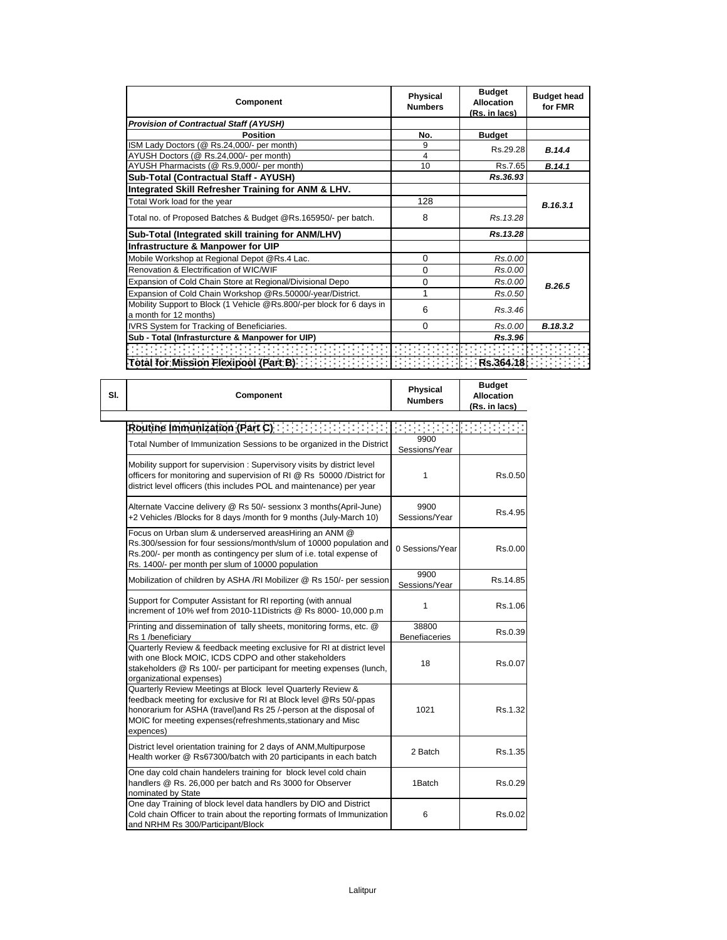| Component                                                                                       | <b>Physical</b><br><b>Numbers</b> | <b>Budget</b><br>Allocation<br>(Rs. in lacs) | <b>Budget head</b><br>for FMR |
|-------------------------------------------------------------------------------------------------|-----------------------------------|----------------------------------------------|-------------------------------|
| <b>Provision of Contractual Staff (AYUSH)</b>                                                   |                                   |                                              |                               |
| <b>Position</b>                                                                                 | No.                               | <b>Budget</b>                                |                               |
| ISM Lady Doctors (@ Rs.24,000/- per month)                                                      | 9                                 | Rs.29.28                                     | B.14.4                        |
| AYUSH Doctors (@ Rs.24,000/- per month)                                                         | 4                                 |                                              |                               |
| AYUSH Pharmacists (@ Rs.9,000/- per month)                                                      | 10                                | Rs.7.65                                      | B.14.1                        |
| Sub-Total (Contractual Staff - AYUSH)                                                           |                                   | Rs.36.93                                     |                               |
| Integrated Skill Refresher Training for ANM & LHV.                                              |                                   |                                              |                               |
| Total Work load for the year                                                                    | 128                               |                                              | B.16.3.1                      |
| Total no. of Proposed Batches & Budget @Rs.165950/- per batch.                                  | 8                                 | Rs. 13.28                                    |                               |
| Sub-Total (Integrated skill training for ANM/LHV)                                               |                                   | Rs.13.28                                     |                               |
| Infrastructure & Manpower for UIP                                                               |                                   |                                              |                               |
| Mobile Workshop at Regional Depot @Rs.4 Lac.                                                    | 0                                 | Rs.0.00                                      |                               |
| Renovation & Electrification of WIC/WIF                                                         | 0                                 | Rs.0.00                                      |                               |
| Expansion of Cold Chain Store at Regional/Divisional Depo                                       | 0                                 | Rs.0.00                                      | B.26.5                        |
| Expansion of Cold Chain Workshop @Rs.50000/-year/District.                                      |                                   | Rs.0.50                                      |                               |
| Mobility Support to Block (1 Vehicle @Rs.800/-per block for 6 days in<br>a month for 12 months) | 6                                 | Rs.3.46                                      |                               |
| IVRS System for Tracking of Beneficiaries.                                                      | 0                                 | Rs.0.00                                      | B.18.3.2                      |
| Sub - Total (Infrasturcture & Manpower for UIP)                                                 |                                   | Rs.3.96                                      |                               |
|                                                                                                 |                                   |                                              |                               |
| Total for Mission Flexipool (Part B)                                                            |                                   | Rs.364.18                                    |                               |

**Budget** 

| SI. | Component                                                                                                                                                                                                                                                                           | <b>Physical</b><br><b>Numbers</b> | <b>Budget</b><br><b>Allocation</b><br>(Rs. in lacs) |
|-----|-------------------------------------------------------------------------------------------------------------------------------------------------------------------------------------------------------------------------------------------------------------------------------------|-----------------------------------|-----------------------------------------------------|
|     | Routine Immunization (Part C) And All Antichter State Inc.                                                                                                                                                                                                                          |                                   |                                                     |
|     | Total Number of Immunization Sessions to be organized in the District                                                                                                                                                                                                               | 9900<br>Sessions/Year             |                                                     |
|     | Mobility support for supervision: Supervisory visits by district level<br>officers for monitoring and supervision of RI @ Rs 50000 /District for<br>district level officers (this includes POL and maintenance) per year                                                            | 1                                 | Rs.0.50                                             |
|     | Alternate Vaccine delivery @ Rs 50/- sessionx 3 months(April-June)<br>+2 Vehicles /Blocks for 8 days /month for 9 months (July-March 10)                                                                                                                                            | 9900<br>Sessions/Year             | Rs.4.95                                             |
|     | Focus on Urban slum & underserved areasHiring an ANM @<br>Rs.300/session for four sessions/month/slum of 10000 population and<br>Rs.200/- per month as contingency per slum of i.e. total expense of<br>Rs. 1400/- per month per slum of 10000 population                           | 0 Sessions/Year                   | Rs.0.00                                             |
|     | Mobilization of children by ASHA /RI Mobilizer @ Rs 150/- per session                                                                                                                                                                                                               | 9900<br>Sessions/Year             | Rs.14.85                                            |
|     | Support for Computer Assistant for RI reporting (with annual<br>increment of 10% wef from 2010-11Districts @ Rs 8000-10,000 p.m                                                                                                                                                     | 1                                 | Rs.1.06                                             |
|     | Printing and dissemination of tally sheets, monitoring forms, etc. @<br>Rs 1 /beneficiary                                                                                                                                                                                           | 38800<br><b>Benefiaceries</b>     | Rs.0.39                                             |
|     | Quarterly Review & feedback meeting exclusive for RI at district level<br>with one Block MOIC, ICDS CDPO and other stakeholders<br>stakeholders @ Rs 100/- per participant for meeting expenses (lunch,<br>organizational expenses)                                                 | 18                                | Rs.0.07                                             |
|     | Quarterly Review Meetings at Block level Quarterly Review &<br>feedback meeting for exclusive for RI at Block level @Rs 50/-ppas<br>honorarium for ASHA (travel) and Rs 25 /-person at the disposal of<br>MOIC for meeting expenses (refreshments, stationary and Misc<br>expences) | 1021                              | Rs.1.32                                             |
|     | District level orientation training for 2 days of ANM, Multipurpose<br>Health worker @ Rs67300/batch with 20 participants in each batch                                                                                                                                             | 2 Batch                           | Rs.1.35                                             |
|     | One day cold chain handelers training for block level cold chain<br>handlers @ Rs. 26,000 per batch and Rs 3000 for Observer<br>nominated by State                                                                                                                                  | 1Batch                            | Rs.0.29                                             |
|     | One day Training of block level data handlers by DIO and District<br>Cold chain Officer to train about the reporting formats of Immunization<br>and NRHM Rs 300/Participant/Block                                                                                                   | 6                                 | Rs.0.02                                             |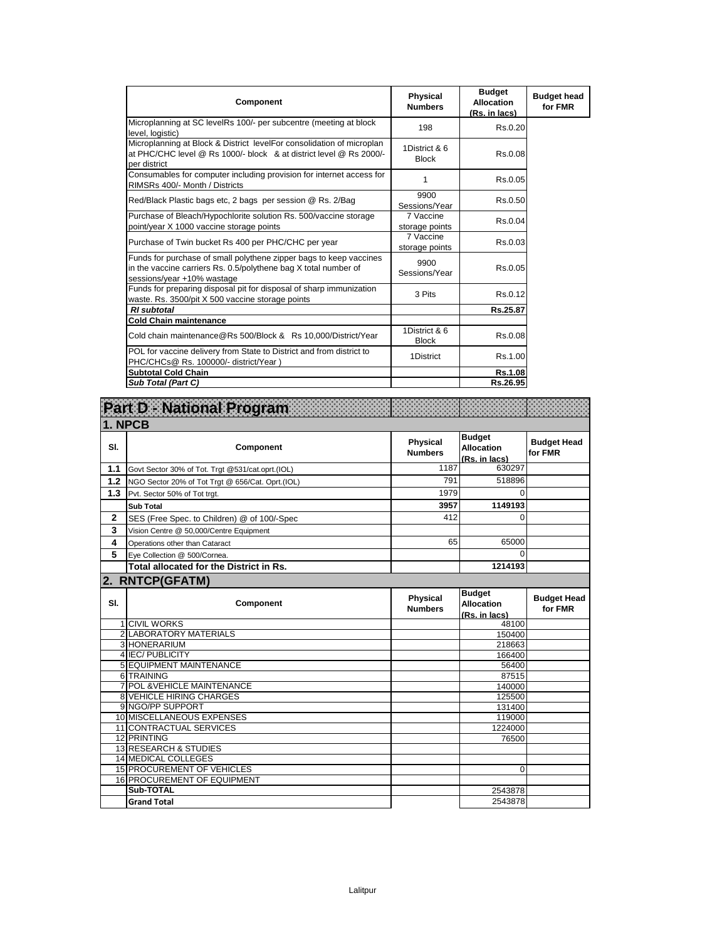| Component                                                                                                                                                           | Physical<br><b>Numbers</b>    | <b>Budget</b><br><b>Allocation</b><br>(Rs. in lacs) | <b>Budget head</b><br>for FMR |
|---------------------------------------------------------------------------------------------------------------------------------------------------------------------|-------------------------------|-----------------------------------------------------|-------------------------------|
| Microplanning at SC levelRs 100/- per subcentre (meeting at block<br>level. logistic)                                                                               | 198                           | Rs.0.20                                             |                               |
| Microplanning at Block & District levelFor consolidation of microplan<br>at PHC/CHC level @ Rs 1000/- block & at district level @ Rs 2000/-<br>per district         | 1District & 6<br><b>Block</b> | Rs.0.08                                             |                               |
| Consumables for computer including provision for internet access for<br>RIMSRs 400/- Month / Districts                                                              | 1                             | Rs.0.05                                             |                               |
| Red/Black Plastic bags etc, 2 bags per session @ Rs. 2/Bag                                                                                                          | 9900<br>Sessions/Year         | Rs.0.50                                             |                               |
| Purchase of Bleach/Hypochlorite solution Rs. 500/vaccine storage<br>point/year X 1000 vaccine storage points                                                        | 7 Vaccine<br>storage points   | Rs.0.04                                             |                               |
| Purchase of Twin bucket Rs 400 per PHC/CHC per year                                                                                                                 | 7 Vaccine<br>storage points   | Rs.0.03                                             |                               |
| Funds for purchase of small polythene zipper bags to keep vaccines<br>in the vaccine carriers Rs. 0.5/polythene bag X total number of<br>sessions/year +10% wastage | 9900<br>Sessions/Year         | Rs.0.05                                             |                               |
| Funds for preparing disposal pit for disposal of sharp immunization<br>waste. Rs. 3500/pit X 500 vaccine storage points                                             | 3 Pits                        | Rs.0.12                                             |                               |
| <b>RI</b> subtotal                                                                                                                                                  |                               | Rs.25.87                                            |                               |
| <b>Cold Chain maintenance</b>                                                                                                                                       |                               |                                                     |                               |
| Cold chain maintenance@Rs 500/Block & Rs 10,000/District/Year                                                                                                       | 1District & 6<br><b>Block</b> | Rs.0.08                                             |                               |
| POL for vaccine delivery from State to District and from district to<br>PHC/CHCs@ Rs. 100000/- district/Year )                                                      | 1District                     | Rs.1.00                                             |                               |
| <b>Subtotal Cold Chain</b>                                                                                                                                          |                               | Rs.1.08                                             |                               |
| Sub Total (Part C)                                                                                                                                                  |                               | Rs.26.95                                            |                               |

|              | Part D - National Program                        |                                   |                                                     |                               |
|--------------|--------------------------------------------------|-----------------------------------|-----------------------------------------------------|-------------------------------|
| 1. NPCB      |                                                  |                                   |                                                     |                               |
| SI.          | Component                                        | <b>Physical</b><br><b>Numbers</b> | <b>Budget</b><br><b>Allocation</b><br>(Rs. in lacs) | <b>Budget Head</b><br>for FMR |
| 1.1          | Govt Sector 30% of Tot. Trgt @531/cat.oprt.(IOL) | 1187                              | 630297                                              |                               |
| 1.2          | NGO Sector 20% of Tot Trgt @ 656/Cat. Oprt.(IOL) | 791                               | 518896                                              |                               |
| 1.3          | Pvt. Sector 50% of Tot trgt.                     | 1979                              | $\Omega$                                            |                               |
|              | <b>Sub Total</b>                                 | 3957                              | 1149193                                             |                               |
| $\mathbf{2}$ | SES (Free Spec. to Children) @ of 100/-Spec      | 412                               | $\Omega$                                            |                               |
| 3            | Vision Centre @ 50,000/Centre Equipment          |                                   |                                                     |                               |
| 4            | Operations other than Cataract                   | 65                                | 65000                                               |                               |
| 5            | Eye Collection @ 500/Cornea.                     |                                   | $\Omega$                                            |                               |
|              | Total allocated for the District in Rs.          |                                   | 1214193                                             |                               |
|              | 2. RNTCP(GFATM)                                  |                                   |                                                     |                               |
| SI.          | Component                                        | <b>Physical</b><br><b>Numbers</b> | <b>Budget</b><br><b>Allocation</b><br>(Rs. in lacs) | <b>Budget Head</b><br>for FMR |
|              | <b>1 CIVIL WORKS</b>                             |                                   | 48100                                               |                               |
|              | 2 LABORATORY MATERIALS                           |                                   | 150400                                              |                               |
|              | 3 HONERARIUM                                     |                                   | 218663                                              |                               |
|              | 4 IEC/PUBLICITY                                  |                                   | 166400                                              |                               |
|              | 5 EQUIPMENT MAINTENANCE<br>6 TRAINING            |                                   | 56400<br>87515                                      |                               |
|              | 7 POL & VEHICLE MAINTENANCE                      |                                   | 140000                                              |                               |
|              | <b>8 VEHICLE HIRING CHARGES</b>                  |                                   | 125500                                              |                               |
|              | 9 NGO/PP SUPPORT                                 |                                   | 131400                                              |                               |
|              | 10 MISCELLANEOUS EXPENSES                        |                                   | 119000                                              |                               |
|              | 11 CONTRACTUAL SERVICES                          |                                   | 1224000                                             |                               |
|              | 12 PRINTING                                      |                                   | 76500                                               |                               |
|              | 13 RESEARCH & STUDIES                            |                                   |                                                     |                               |
|              | <b>14 MEDICAL COLLEGES</b>                       |                                   |                                                     |                               |
|              | <b>15 PROCUREMENT OF VEHICLES</b>                |                                   | $\mathbf 0$                                         |                               |
|              | <b>16 PROCUREMENT OF EQUIPMENT</b>               |                                   |                                                     |                               |
|              | Sub-TOTAL                                        |                                   | 2543878                                             |                               |
|              | <b>Grand Total</b>                               |                                   | 2543878                                             |                               |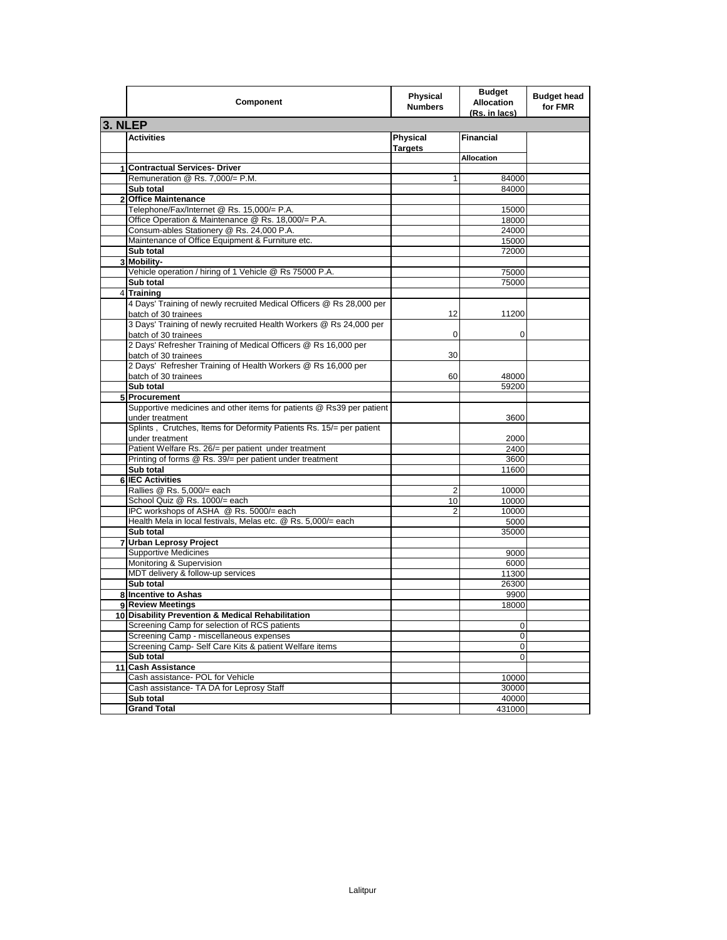|                | Component                                                                                    | <b>Physical</b><br><b>Numbers</b> | <b>Budget</b><br><b>Allocation</b><br>(Rs. in lacs) | <b>Budget head</b><br>for FMR |
|----------------|----------------------------------------------------------------------------------------------|-----------------------------------|-----------------------------------------------------|-------------------------------|
| 3. NLEP        |                                                                                              |                                   |                                                     |                               |
|                | <b>Activities</b>                                                                            | Physical<br><b>Targets</b>        | <b>Financial</b>                                    |                               |
|                |                                                                                              |                                   | <b>Allocation</b>                                   |                               |
|                | 1 Contractual Services- Driver                                                               |                                   |                                                     |                               |
|                | Remuneration @ Rs. 7,000/= P.M.                                                              | 1                                 | 84000                                               |                               |
|                | Sub total                                                                                    |                                   | 84000                                               |                               |
| $\mathbf{2}$   | <b>Office Maintenance</b>                                                                    |                                   |                                                     |                               |
|                | Telephone/Fax/Internet @ Rs. 15,000/= P.A.                                                   |                                   | 15000                                               |                               |
|                | Office Operation & Maintenance @ Rs. 18,000/= P.A.                                           |                                   | 18000                                               |                               |
|                | Consum-ables Stationery @ Rs. 24,000 P.A.                                                    |                                   | 24000                                               |                               |
|                | Maintenance of Office Equipment & Furniture etc.                                             |                                   | 15000                                               |                               |
|                | Sub total                                                                                    |                                   | 72000                                               |                               |
|                | 3 Mobility-                                                                                  |                                   |                                                     |                               |
|                | Vehicle operation / hiring of 1 Vehicle @ Rs 75000 P.A.                                      |                                   | 75000                                               |                               |
|                | Sub total                                                                                    |                                   | 75000                                               |                               |
| $\overline{4}$ | <b>Training</b>                                                                              |                                   |                                                     |                               |
|                | 4 Days' Training of newly recruited Medical Officers @ Rs 28,000 per<br>batch of 30 trainees | 12                                | 11200                                               |                               |
|                | 3 Days' Training of newly recruited Health Workers @ Rs 24,000 per<br>batch of 30 trainees   | 0                                 | 0                                                   |                               |
|                | 2 Days' Refresher Training of Medical Officers @ Rs 16,000 per<br>batch of 30 trainees       | 30                                |                                                     |                               |
|                | 2 Days' Refresher Training of Health Workers @ Rs 16,000 per                                 |                                   | 48000                                               |                               |
|                | batch of 30 trainees<br>Sub total                                                            | 60                                | 59200                                               |                               |
|                | 5 Procurement                                                                                |                                   |                                                     |                               |
|                | Supportive medicines and other items for patients @ Rs39 per patient                         |                                   |                                                     |                               |
|                | under treatment                                                                              |                                   | 3600                                                |                               |
|                | Splints, Crutches, Items for Deformity Patients Rs. 15/= per patient<br>under treatment      |                                   | 2000                                                |                               |
|                | Patient Welfare Rs. 26/= per patient under treatment                                         |                                   | 2400                                                |                               |
|                | Printing of forms @ Rs. 39/= per patient under treatment                                     |                                   | 3600                                                |                               |
|                | Sub total                                                                                    |                                   | 11600                                               |                               |
|                | 6 IEC Activities                                                                             |                                   |                                                     |                               |
|                | Rallies @ Rs. 5,000/= each                                                                   | 2                                 | 10000                                               |                               |
|                | School Quiz @ Rs. 1000/= each                                                                | 10                                | 10000                                               |                               |
|                | IPC workshops of ASHA @ Rs. 5000/= each                                                      | $\overline{2}$                    | 10000                                               |                               |
|                | Health Mela in local festivals, Melas etc. @ Rs. 5,000/= each                                |                                   | 5000                                                |                               |
|                | Sub total                                                                                    |                                   | 35000                                               |                               |
|                | 7 Urban Leprosy Project                                                                      |                                   |                                                     |                               |
|                | <b>Supportive Medicines</b>                                                                  |                                   | 9000                                                |                               |
|                | Monitoring & Supervision                                                                     |                                   | 6000                                                |                               |
|                | MDT delivery & follow-up services                                                            |                                   | 11300                                               |                               |
|                | Sub total                                                                                    |                                   | 26300                                               |                               |
|                | 8 Incentive to Ashas                                                                         |                                   | 9900                                                |                               |
|                | 9 Review Meetings                                                                            |                                   | 18000                                               |                               |
|                | 10 Disability Prevention & Medical Rehabilitation                                            |                                   |                                                     |                               |
|                | Screening Camp for selection of RCS patients<br>Screening Camp - miscellaneous expenses      |                                   | 0                                                   |                               |
|                | Screening Camp- Self Care Kits & patient Welfare items                                       |                                   | 0                                                   |                               |
|                | Sub total                                                                                    |                                   | 0                                                   |                               |
|                |                                                                                              |                                   | 0                                                   |                               |
|                | 11 Cash Assistance<br>Cash assistance- POL for Vehicle                                       |                                   |                                                     |                               |
|                | Cash assistance- TA DA for Leprosy Staff                                                     |                                   | 10000<br>30000                                      |                               |
|                | Sub total                                                                                    |                                   | 40000                                               |                               |
|                | <b>Grand Total</b>                                                                           |                                   | 431000                                              |                               |
|                |                                                                                              |                                   |                                                     |                               |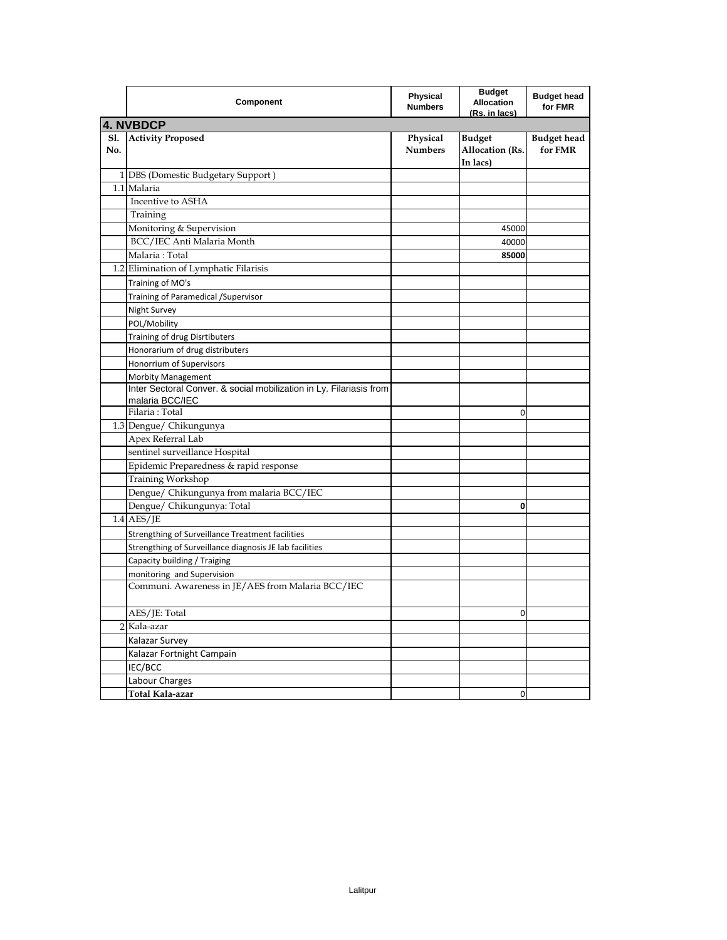|            | Component                                                                              | Physical<br><b>Numbers</b> | <b>Budget</b><br><b>Allocation</b><br>(Rs. in lacs) | <b>Budget head</b><br>for FMR |
|------------|----------------------------------------------------------------------------------------|----------------------------|-----------------------------------------------------|-------------------------------|
|            | 4. NVBDCP                                                                              |                            |                                                     |                               |
| S1.<br>No. | <b>Activity Proposed</b>                                                               | Physical<br><b>Numbers</b> | <b>Budget</b><br>Allocation (Rs.<br>In lacs)        | <b>Budget head</b><br>for FMR |
|            | 1 DBS (Domestic Budgetary Support)                                                     |                            |                                                     |                               |
|            | 1.1 Malaria                                                                            |                            |                                                     |                               |
|            | Incentive to ASHA                                                                      |                            |                                                     |                               |
|            | Training                                                                               |                            |                                                     |                               |
|            | Monitoring & Supervision                                                               |                            | 45000                                               |                               |
|            | BCC/IEC Anti Malaria Month                                                             |                            | 40000                                               |                               |
|            | Malaria: Total                                                                         |                            | 85000                                               |                               |
|            | 1.2 Elimination of Lymphatic Filarisis                                                 |                            |                                                     |                               |
|            | Training of MO's                                                                       |                            |                                                     |                               |
|            | Training of Paramedical / Supervisor                                                   |                            |                                                     |                               |
|            | Night Survey                                                                           |                            |                                                     |                               |
|            | POL/Mobility                                                                           |                            |                                                     |                               |
|            | Training of drug Disrtibuters                                                          |                            |                                                     |                               |
|            | Honorarium of drug distributers                                                        |                            |                                                     |                               |
|            | Honorrium of Supervisors                                                               |                            |                                                     |                               |
|            | <b>Morbity Management</b>                                                              |                            |                                                     |                               |
|            | Inter Sectoral Conver. & social mobilization in Ly. Filariasis from<br>malaria BCC/IEC |                            |                                                     |                               |
|            | Filaria: Total                                                                         |                            | 0                                                   |                               |
|            | 1.3 Dengue/ Chikungunya                                                                |                            |                                                     |                               |
|            | Apex Referral Lab                                                                      |                            |                                                     |                               |
|            | sentinel surveillance Hospital                                                         |                            |                                                     |                               |
|            | Epidemic Preparedness & rapid response                                                 |                            |                                                     |                               |
|            | Training Workshop                                                                      |                            |                                                     |                               |
|            | Dengue/ Chikungunya from malaria BCC/IEC                                               |                            |                                                     |                               |
|            | Dengue/ Chikungunya: Total                                                             |                            | 0                                                   |                               |
|            | $1.4$ AES/JE                                                                           |                            |                                                     |                               |
|            | Strengthing of Surveillance Treatment facilities                                       |                            |                                                     |                               |
|            | Strengthing of Surveillance diagnosis JE lab facilities                                |                            |                                                     |                               |
|            | Capacity building / Traiging                                                           |                            |                                                     |                               |
|            | monitoring and Supervision                                                             |                            |                                                     |                               |
|            | Communi. Awareness in JE/AES from Malaria BCC/IEC                                      |                            |                                                     |                               |
|            | AES/JE: Total                                                                          |                            | 0                                                   |                               |
|            | 2 Kala-azar                                                                            |                            |                                                     |                               |
|            | Kalazar Survey                                                                         |                            |                                                     |                               |
|            | Kalazar Fortnight Campain                                                              |                            |                                                     |                               |
|            | IEC/BCC                                                                                |                            |                                                     |                               |
|            | Labour Charges                                                                         |                            |                                                     |                               |
|            | Total Kala-azar                                                                        |                            | 0                                                   |                               |